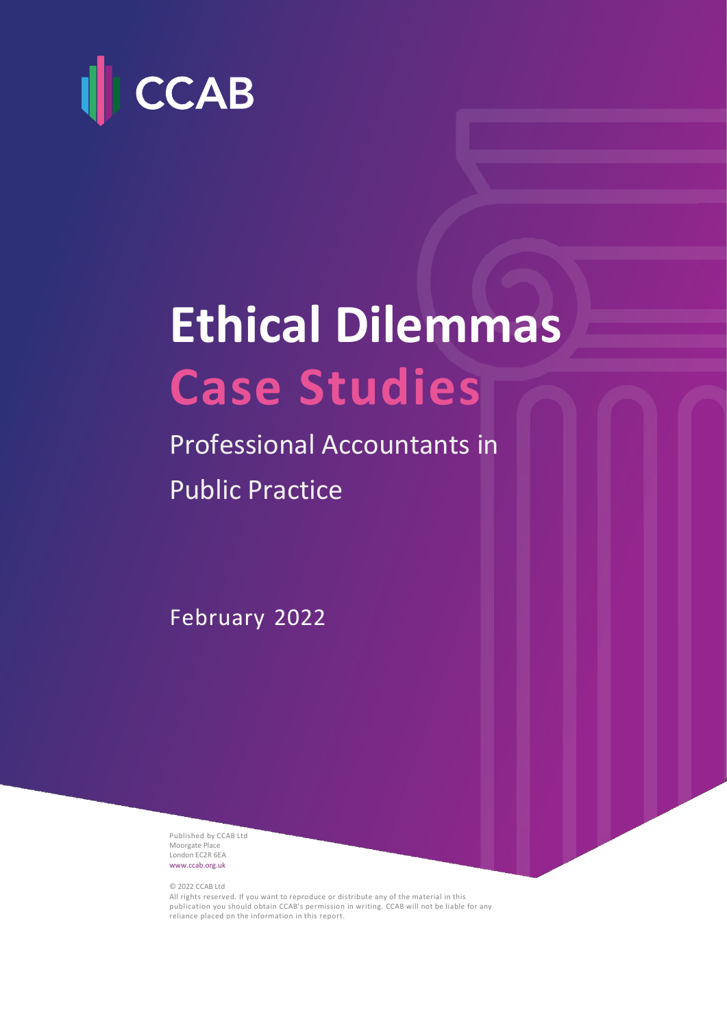

# **Ethical Dilemmas Case Studies**

Professional Accountants in Public Practice

February 2022

Published by CCAB Ltd Moorgate Place London EC2R 6EA [www.ccab.org.uk](http://www.ccab.org.uk/)

© 2022 CCAB Ltd

All rights reserved. If you want to reproduce or distribute any of the material in this publication you should obtain CCAB's permission in writing. CCAB will not be liable for any reliance placed on the information in this report.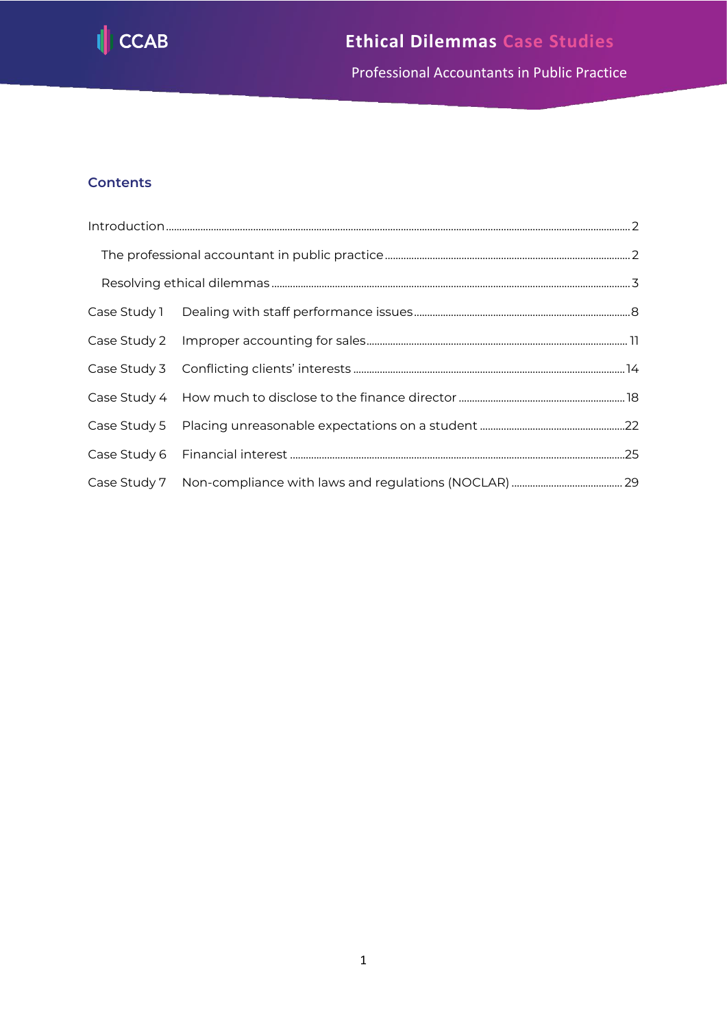

Professional Accountants in Public Practice

# **Contents**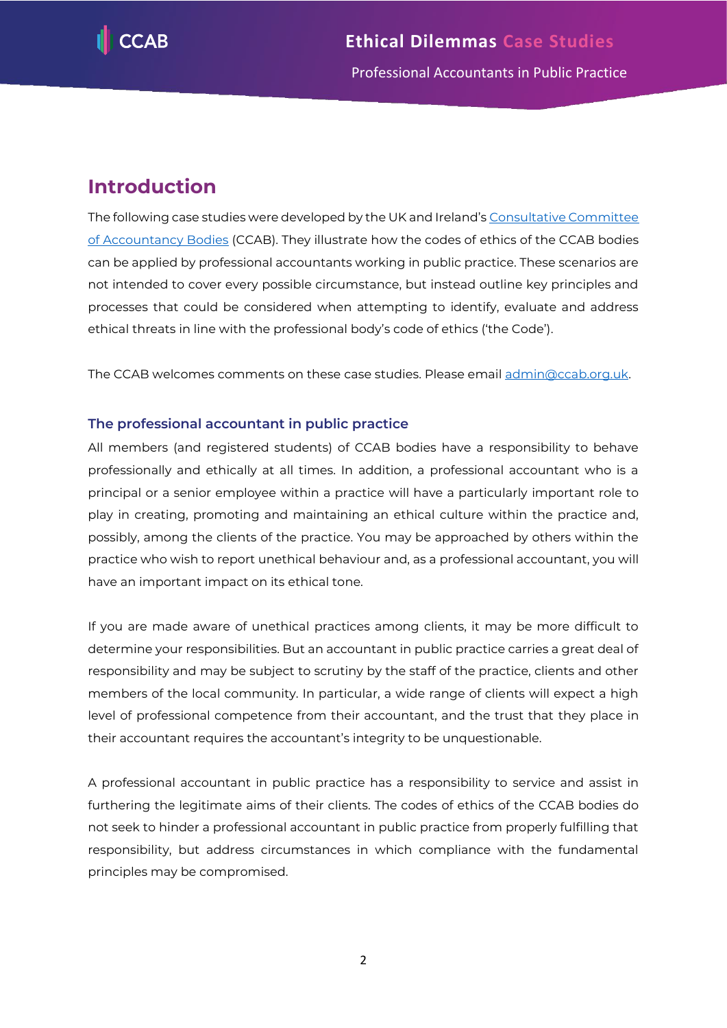

# <span id="page-2-0"></span>**Introduction**

The following case studies were developed by the UK and Ireland's [Consultative Committee](http://www.ccab.org.uk/)  [of Accountancy Bodies](http://www.ccab.org.uk/) (CCAB). They illustrate how the codes of ethics of the CCAB bodies can be applied by professional accountants working in public practice. These scenarios are not intended to cover every possible circumstance, but instead outline key principles and processes that could be considered when attempting to identify, evaluate and address ethical threats in line with the professional body's code of ethics ('the Code').

The CCAB welcomes comments on these case studies. Please email [admin@ccab.org.uk.](mailto:admin@ccab.org.uk)

# <span id="page-2-1"></span>**The professional accountant in public practice**

All members (and registered students) of CCAB bodies have a responsibility to behave professionally and ethically at all times. In addition, a professional accountant who is a principal or a senior employee within a practice will have a particularly important role to play in creating, promoting and maintaining an ethical culture within the practice and, possibly, among the clients of the practice. You may be approached by others within the practice who wish to report unethical behaviour and, as a professional accountant, you will have an important impact on its ethical tone.

If you are made aware of unethical practices among clients, it may be more difficult to determine your responsibilities. But an accountant in public practice carries a great deal of responsibility and may be subject to scrutiny by the staff of the practice, clients and other members of the local community. In particular, a wide range of clients will expect a high level of professional competence from their accountant, and the trust that they place in their accountant requires the accountant's integrity to be unquestionable.

A professional accountant in public practice has a responsibility to service and assist in furthering the legitimate aims of their clients. The codes of ethics of the CCAB bodies do not seek to hinder a professional accountant in public practice from properly fulfilling that responsibility, but address circumstances in which compliance with the fundamental principles may be compromised.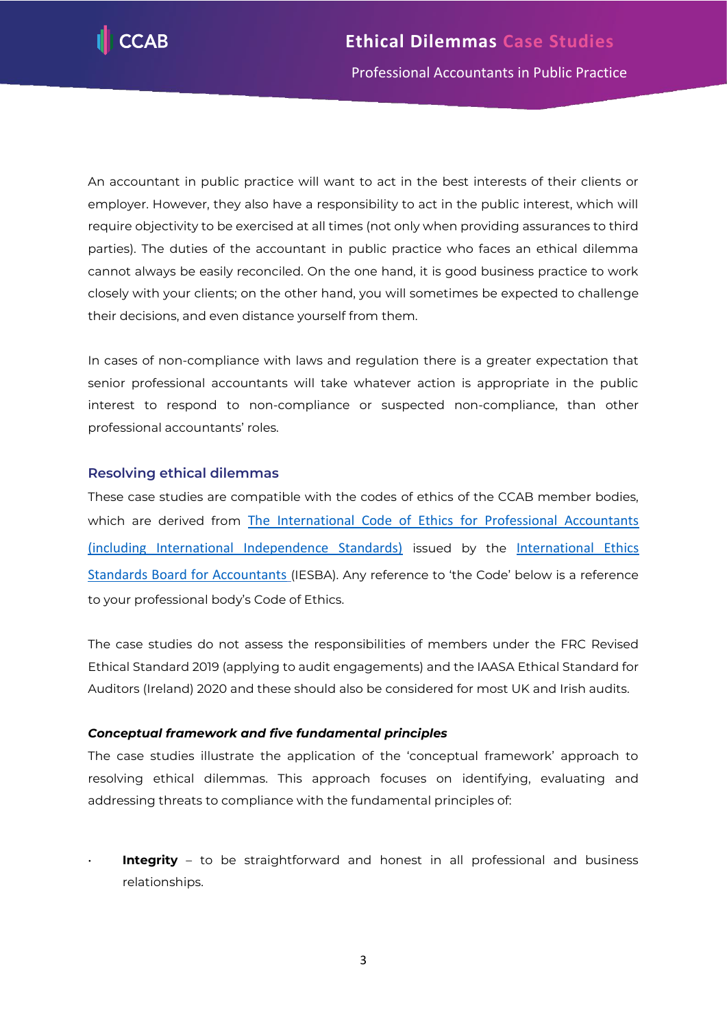

An accountant in public practice will want to act in the best interests of their clients or employer. However, they also have a responsibility to act in the public interest, which will require objectivity to be exercised at all times (not only when providing assurances to third parties). The duties of the accountant in public practice who faces an ethical dilemma cannot always be easily reconciled. On the one hand, it is good business practice to work closely with your clients; on the other hand, you will sometimes be expected to challenge their decisions, and even distance yourself from them.

In cases of non-compliance with laws and regulation there is a greater expectation that senior professional accountants will take whatever action is appropriate in the public interest to respond to non-compliance or suspected non-compliance, than other professional accountants' roles.

# <span id="page-3-0"></span>**Resolving ethical dilemmas**

These case studies are compatible with the codes of ethics of the CCAB member bodies, which are derived from The International Code of Ethics for Professional Accountants [\(including International Independence Standards\)](https://www.ethicsboard.org/international-code-ethics-professional-accountants) issued by the [International Ethics](https://www.ethicsboard.org/)  [Standards Board for Accountants](https://www.ethicsboard.org/) (IESBA). Any reference to 'the Code' below is a reference to your professional body's Code of Ethics.

The case studies do not assess the responsibilities of members under the FRC Revised Ethical Standard 2019 (applying to audit engagements) and the IAASA Ethical Standard for Auditors (Ireland) 2020 and these should also be considered for most UK and Irish audits.

# *Conceptual framework and five fundamental principles*

The case studies illustrate the application of the 'conceptual framework' approach to resolving ethical dilemmas. This approach focuses on identifying, evaluating and addressing threats to compliance with the fundamental principles of:

**Integrity** – to be straightforward and honest in all professional and business relationships.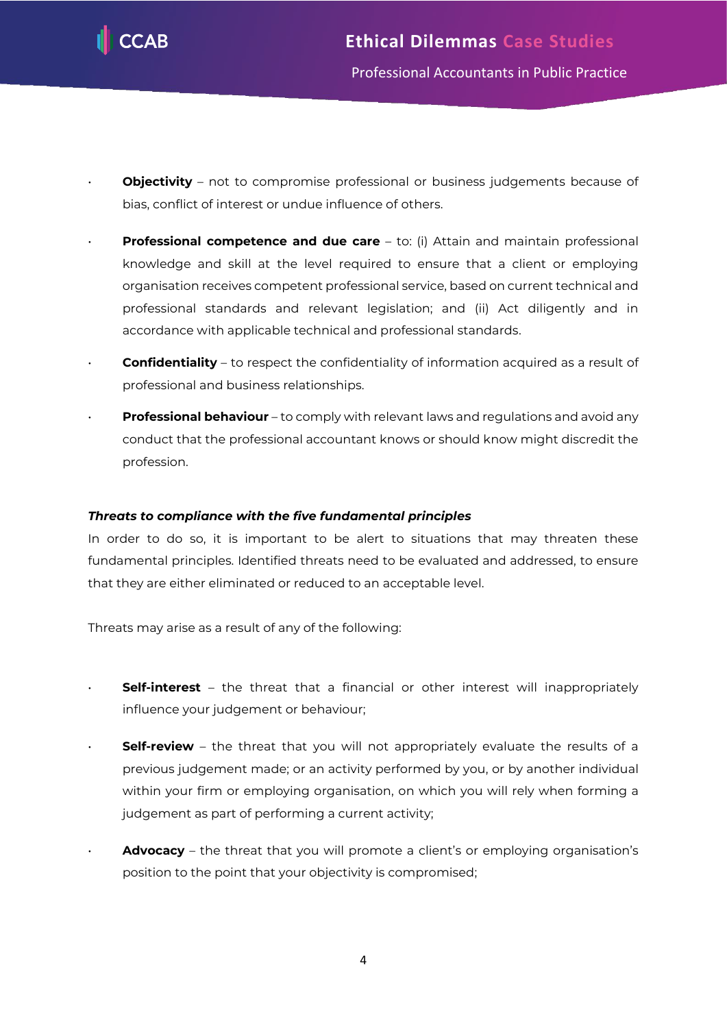

- **Objectivity** not to compromise professional or business judgements because of bias, conflict of interest or undue influence of others.
- **Professional competence and due care** to: (i) Attain and maintain professional knowledge and skill at the level required to ensure that a client or employing organisation receives competent professional service, based on current technical and professional standards and relevant legislation; and (ii) Act diligently and in accordance with applicable technical and professional standards.
- **Confidentiality** to respect the confidentiality of information acquired as a result of professional and business relationships.
- **Professional behaviour** to comply with relevant laws and regulations and avoid any conduct that the professional accountant knows or should know might discredit the profession.

# *Threats to compliance with the five fundamental principles*

In order to do so, it is important to be alert to situations that may threaten these fundamental principles. Identified threats need to be evaluated and addressed, to ensure that they are either eliminated or reduced to an acceptable level.

Threats may arise as a result of any of the following:

- **Self-interest** the threat that a financial or other interest will inappropriately influence your judgement or behaviour;
- **Self-review** the threat that you will not appropriately evaluate the results of a previous judgement made; or an activity performed by you, or by another individual within your firm or employing organisation, on which you will rely when forming a judgement as part of performing a current activity;
- **Advocacy** the threat that you will promote a client's or employing organisation's position to the point that your objectivity is compromised;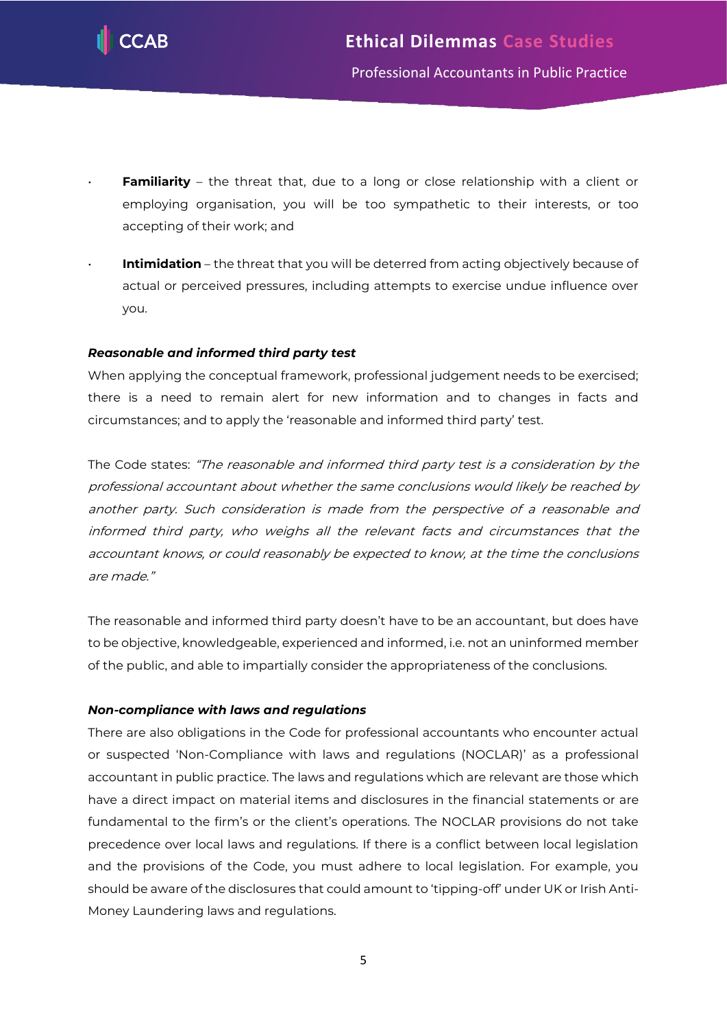

- **Familiarity** the threat that, due to a long or close relationship with a client or employing organisation, you will be too sympathetic to their interests, or too accepting of their work; and
- **Intimidation** the threat that you will be deterred from acting objectively because of actual or perceived pressures, including attempts to exercise undue influence over you.

# *Reasonable and informed third party test*

When applying the conceptual framework, professional judgement needs to be exercised; there is a need to remain alert for new information and to changes in facts and circumstances; and to apply the 'reasonable and informed third party' test.

The Code states: "The reasonable and informed third party test is a consideration by the professional accountant about whether the same conclusions would likely be reached by another party. Such consideration is made from the perspective of a reasonable and informed third party, who weighs all the relevant facts and circumstances that the accountant knows, or could reasonably be expected to know, at the time the conclusions are made."

The reasonable and informed third party doesn't have to be an accountant, but does have to be objective, knowledgeable, experienced and informed, i.e. not an uninformed member of the public, and able to impartially consider the appropriateness of the conclusions.

# *Non-compliance with laws and regulations*

There are also obligations in the Code for professional accountants who encounter actual or suspected 'Non-Compliance with laws and regulations (NOCLAR)' as a professional accountant in public practice. The laws and regulations which are relevant are those which have a direct impact on material items and disclosures in the financial statements or are fundamental to the firm's or the client's operations. The NOCLAR provisions do not take precedence over local laws and regulations. If there is a conflict between local legislation and the provisions of the Code, you must adhere to local legislation. For example, you should be aware of the disclosures that could amount to 'tipping-off' under UK or Irish Anti-Money Laundering laws and regulations.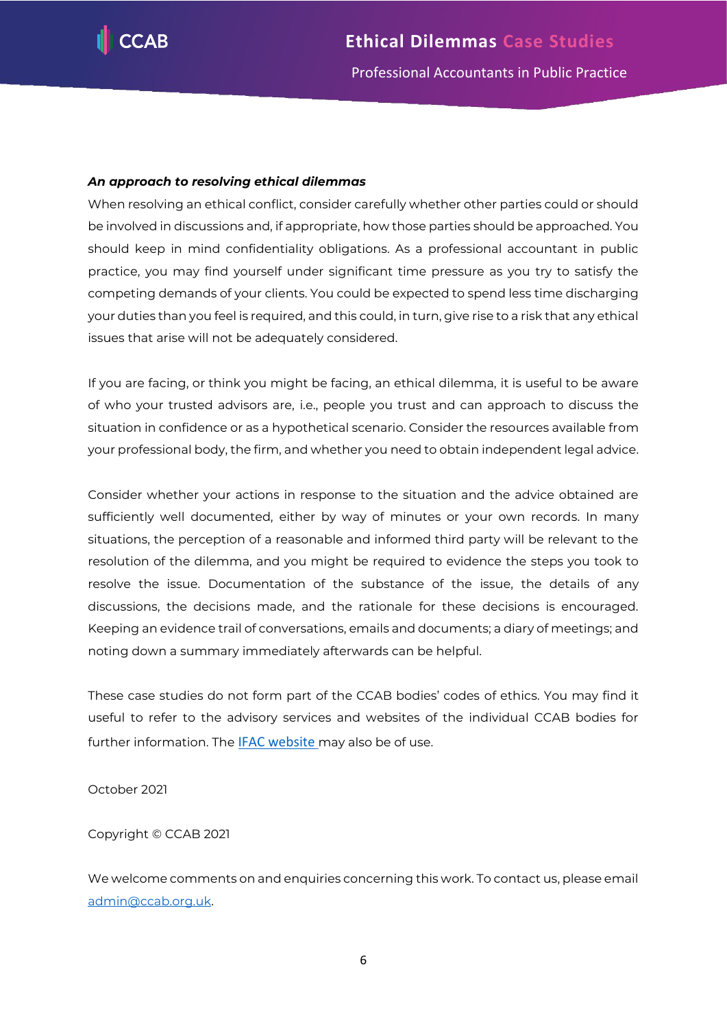

# *An approach to resolving ethical dilemmas*

When resolving an ethical conflict, consider carefully whether other parties could or should be involved in discussions and, if appropriate, how those parties should be approached. You should keep in mind confidentiality obligations. As a professional accountant in public practice, you may find yourself under significant time pressure as you try to satisfy the competing demands of your clients. You could be expected to spend less time discharging your duties than you feel is required, and this could, in turn, give rise to a risk that any ethical issues that arise will not be adequately considered.

If you are facing, or think you might be facing, an ethical dilemma, it is useful to be aware of who your trusted advisors are, i.e., people you trust and can approach to discuss the situation in confidence or as a hypothetical scenario. Consider the resources available from your professional body, the firm, and whether you need to obtain independent legal advice.

Consider whether your actions in response to the situation and the advice obtained are sufficiently well documented, either by way of minutes or your own records. In many situations, the perception of a reasonable and informed third party will be relevant to the resolution of the dilemma, and you might be required to evidence the steps you took to resolve the issue. Documentation of the substance of the issue, the details of any discussions, the decisions made, and the rationale for these decisions is encouraged. Keeping an evidence trail of conversations, emails and documents; a diary of meetings; and noting down a summary immediately afterwards can be helpful.

These case studies do not form part of the CCAB bodies' codes of ethics. You may find it useful to refer to the advisory services and websites of the individual CCAB bodies for further information. The [IFAC website](https://www.ifac.org/) may also be of use.

October 2021

Copyright © CCAB 2021

We welcome comments on and enquiries concerning this work. To contact us, please email [admin@ccab.org.uk.](mailto:admin@ccab.org.uk)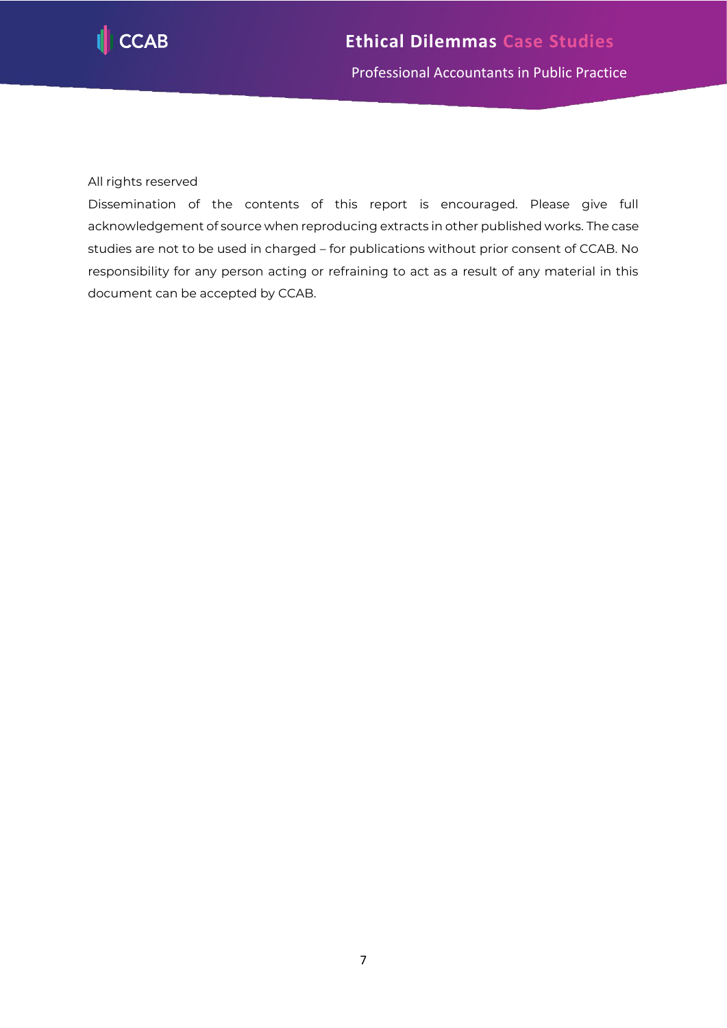

# All rights reserved

<span id="page-7-0"></span>Dissemination of the contents of this report is encouraged. Please give full acknowledgement of source when reproducing extracts in other published works. The case studies are not to be used in charged – for publications without prior consent of CCAB. No responsibility for any person acting or refraining to act as a result of any material in this document can be accepted by CCAB.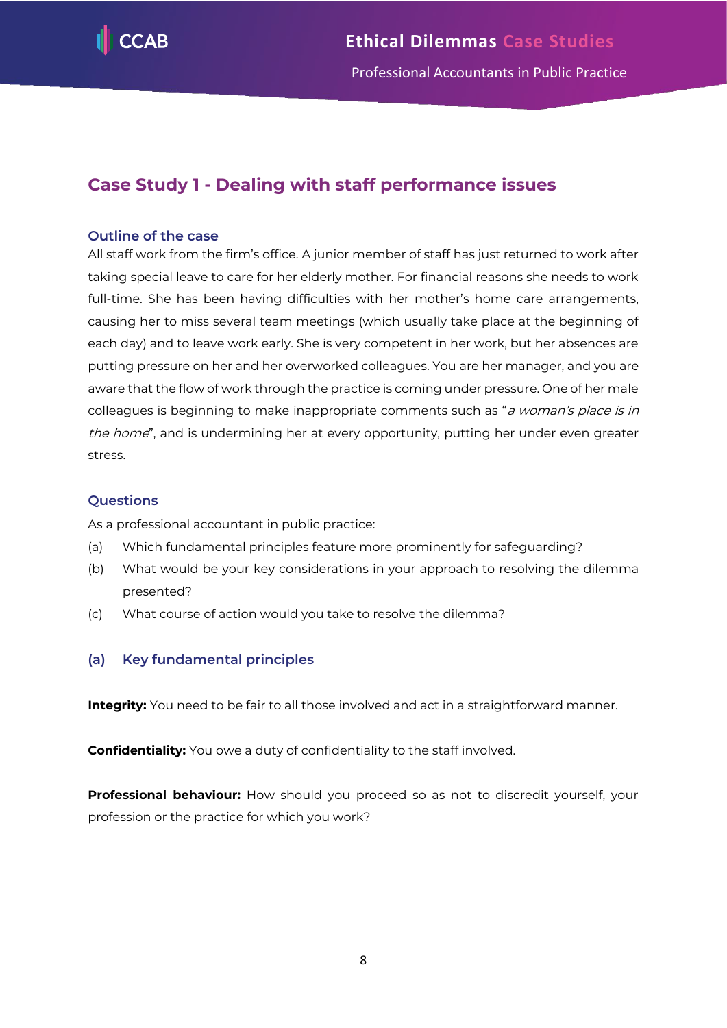

# **Case Study 1 - Dealing with staff performance issues**

# **Outline of the case**

All staff work from the firm's office. A junior member of staff has just returned to work after taking special leave to care for her elderly mother. For financial reasons she needs to work full-time. She has been having difficulties with her mother's home care arrangements, causing her to miss several team meetings (which usually take place at the beginning of each day) and to leave work early. She is very competent in her work, but her absences are putting pressure on her and her overworked colleagues. You are her manager, and you are aware that the flow of work through the practice is coming under pressure. One of her male colleagues is beginning to make inappropriate comments such as "a woman's place is in the home", and is undermining her at every opportunity, putting her under even greater stress.

# **Questions**

As a professional accountant in public practice:

- (a) Which fundamental principles feature more prominently for safeguarding?
- (b) What would be your key considerations in your approach to resolving the dilemma presented?
- (c) What course of action would you take to resolve the dilemma?

# **(a) Key fundamental principles**

**Integrity:** You need to be fair to all those involved and act in a straightforward manner.

**Confidentiality:** You owe a duty of confidentiality to the staff involved.

**Professional behaviour:** How should you proceed so as not to discredit yourself, your profession or the practice for which you work?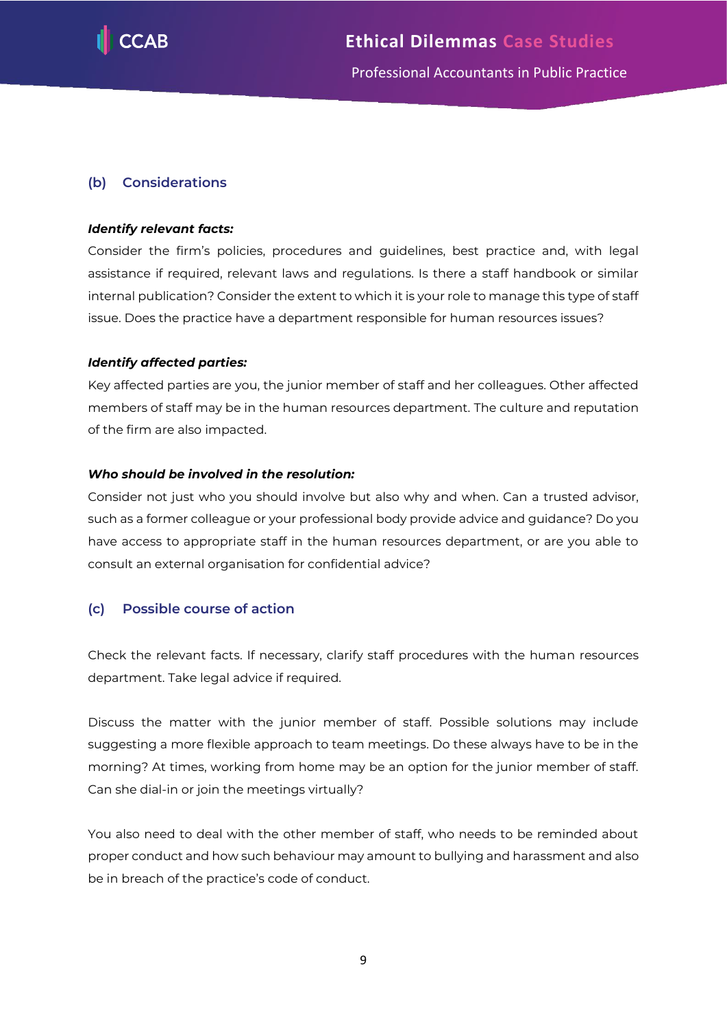

# **(b) Considerations**

# *Identify relevant facts:*

Consider the firm's policies, procedures and guidelines, best practice and, with legal assistance if required, relevant laws and regulations. Is there a staff handbook or similar internal publication? Consider the extent to which it is your role to manage this type of staff issue. Does the practice have a department responsible for human resources issues?

#### *Identify affected parties:*

Key affected parties are you, the junior member of staff and her colleagues. Other affected members of staff may be in the human resources department. The culture and reputation of the firm are also impacted.

#### *Who should be involved in the resolution:*

Consider not just who you should involve but also why and when. Can a trusted advisor, such as a former colleague or your professional body provide advice and guidance? Do you have access to appropriate staff in the human resources department, or are you able to consult an external organisation for confidential advice?

# **(c) Possible course of action**

Check the relevant facts. If necessary, clarify staff procedures with the human resources department. Take legal advice if required.

Discuss the matter with the junior member of staff. Possible solutions may include suggesting a more flexible approach to team meetings. Do these always have to be in the morning? At times, working from home may be an option for the junior member of staff. Can she dial-in or join the meetings virtually?

You also need to deal with the other member of staff, who needs to be reminded about proper conduct and how such behaviour may amount to bullying and harassment and also be in breach of the practice's code of conduct.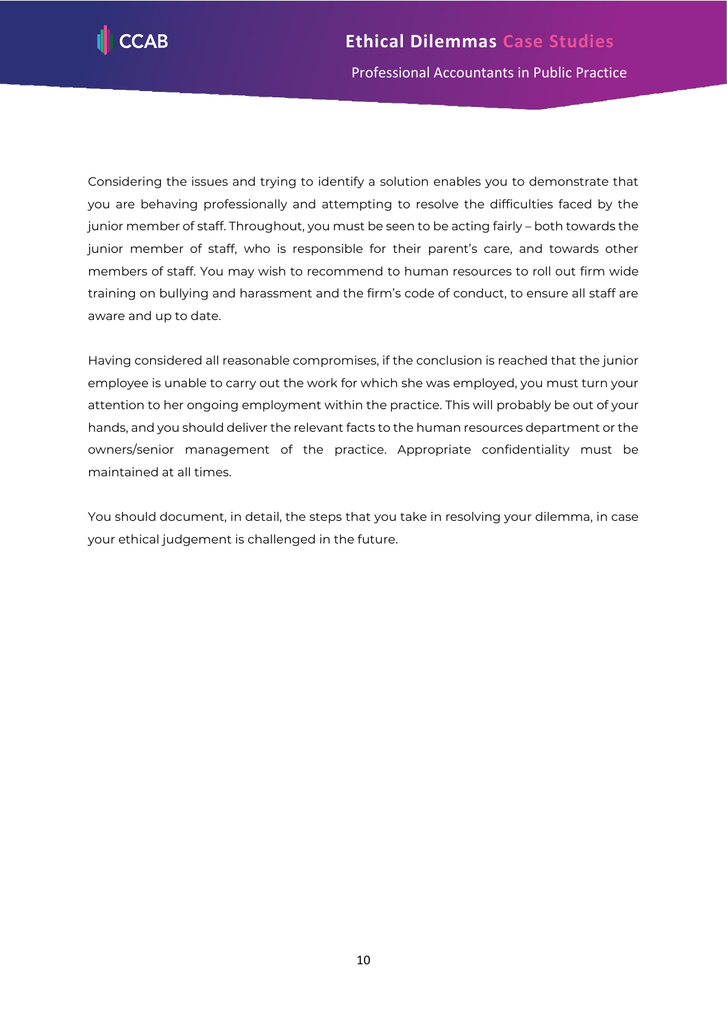

Considering the issues and trying to identify a solution enables you to demonstrate that you are behaving professionally and attempting to resolve the difficulties faced by the junior member of staff. Throughout, you must be seen to be acting fairly – both towards the junior member of staff, who is responsible for their parent's care, and towards other members of staff. You may wish to recommend to human resources to roll out firm wide training on bullying and harassment and the firm's code of conduct, to ensure all staff are aware and up to date.

Having considered all reasonable compromises, if the conclusion is reached that the junior employee is unable to carry out the work for which she was employed, you must turn your attention to her ongoing employment within the practice. This will probably be out of your hands, and you should deliver the relevant facts to the human resources department or the owners/senior management of the practice. Appropriate confidentiality must be maintained at all times.

You should document, in detail, the steps that you take in resolving your dilemma, in case your ethical judgement is challenged in the future.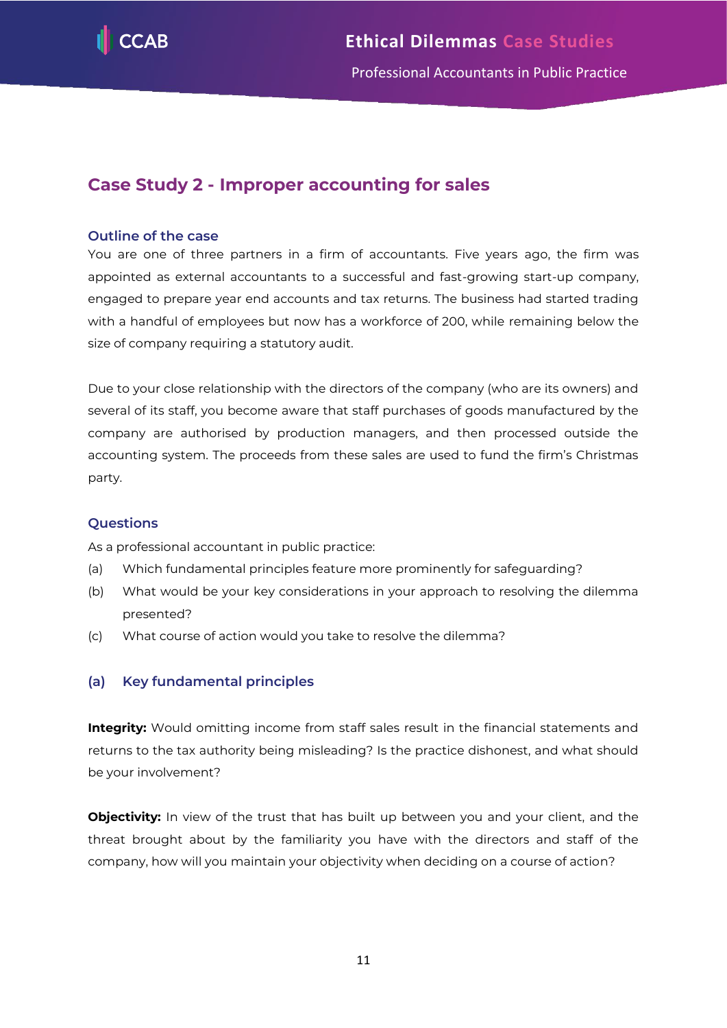

Professional Accountants in Public Practice

# <span id="page-11-0"></span>**Case Study 2 - Improper accounting for sales**

# **Outline of the case**

You are one of three partners in a firm of accountants. Five years ago, the firm was appointed as external accountants to a successful and fast-growing start-up company, engaged to prepare year end accounts and tax returns. The business had started trading with a handful of employees but now has a workforce of 200, while remaining below the size of company requiring a statutory audit.

Due to your close relationship with the directors of the company (who are its owners) and several of its staff, you become aware that staff purchases of goods manufactured by the company are authorised by production managers, and then processed outside the accounting system. The proceeds from these sales are used to fund the firm's Christmas party.

# **Questions**

As a professional accountant in public practice:

- (a) Which fundamental principles feature more prominently for safeguarding?
- (b) What would be your key considerations in your approach to resolving the dilemma presented?
- (c) What course of action would you take to resolve the dilemma?

# **(a) Key fundamental principles**

**Integrity:** Would omitting income from staff sales result in the financial statements and returns to the tax authority being misleading? Is the practice dishonest, and what should be your involvement?

**Objectivity:** In view of the trust that has built up between you and your client, and the threat brought about by the familiarity you have with the directors and staff of the company, how will you maintain your objectivity when deciding on a course of action?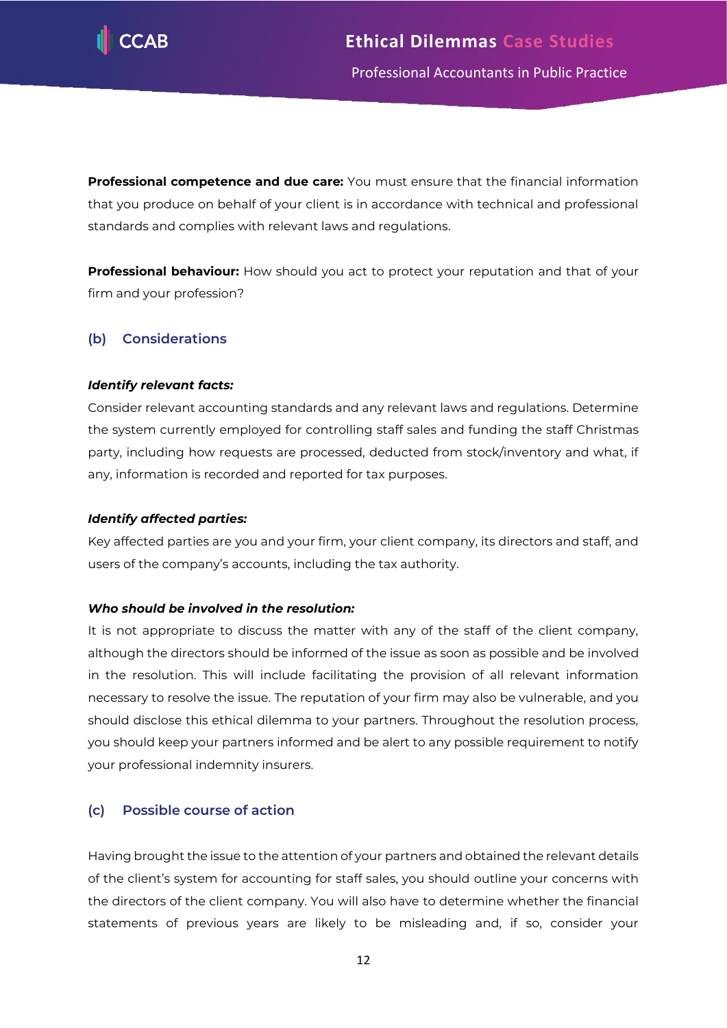

**Professional competence and due care:** You must ensure that the financial information that you produce on behalf of your client is in accordance with technical and professional standards and complies with relevant laws and regulations.

**Professional behaviour:** How should you act to protect your reputation and that of your firm and your profession?

# **(b) Considerations**

# *Identify relevant facts:*

Consider relevant accounting standards and any relevant laws and regulations. Determine the system currently employed for controlling staff sales and funding the staff Christmas party, including how requests are processed, deducted from stock/inventory and what, if any, information is recorded and reported for tax purposes.

# *Identify affected parties:*

Key affected parties are you and your firm, your client company, its directors and staff, and users of the company's accounts, including the tax authority.

# *Who should be involved in the resolution:*

It is not appropriate to discuss the matter with any of the staff of the client company, although the directors should be informed of the issue as soon as possible and be involved in the resolution. This will include facilitating the provision of all relevant information necessary to resolve the issue. The reputation of your firm may also be vulnerable, and you should disclose this ethical dilemma to your partners. Throughout the resolution process, you should keep your partners informed and be alert to any possible requirement to notify your professional indemnity insurers.

# **(c) Possible course of action**

Having brought the issue to the attention of your partners and obtained the relevant details of the client's system for accounting for staff sales, you should outline your concerns with the directors of the client company. You will also have to determine whether the financial statements of previous years are likely to be misleading and, if so, consider your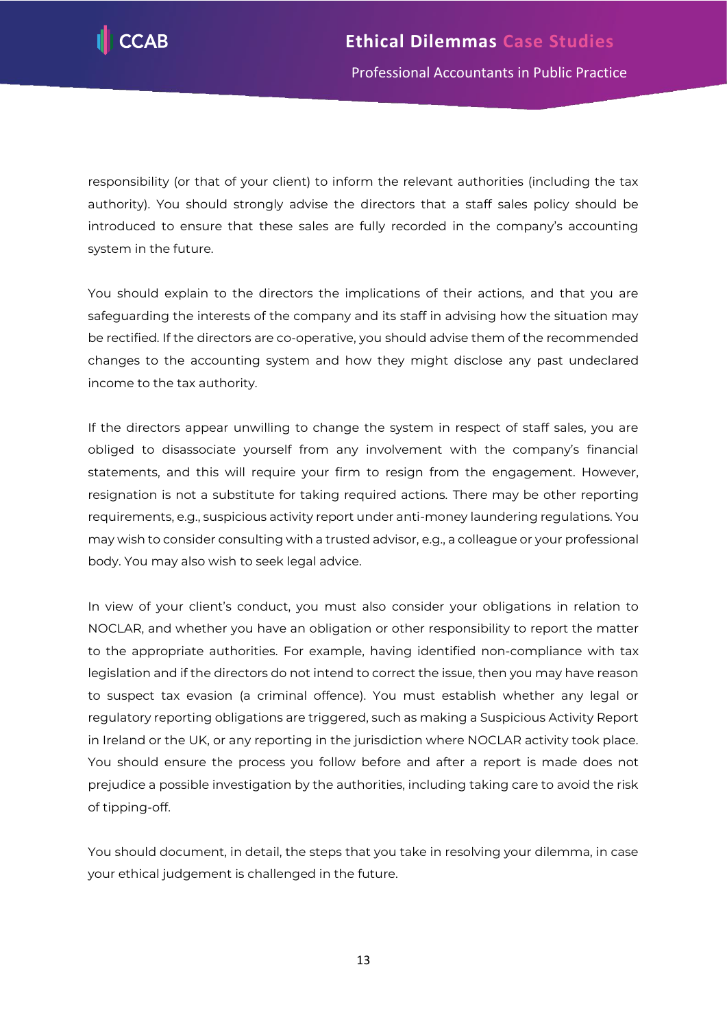

responsibility (or that of your client) to inform the relevant authorities (including the tax authority). You should strongly advise the directors that a staff sales policy should be introduced to ensure that these sales are fully recorded in the company's accounting system in the future.

You should explain to the directors the implications of their actions, and that you are safeguarding the interests of the company and its staff in advising how the situation may be rectified. If the directors are co-operative, you should advise them of the recommended changes to the accounting system and how they might disclose any past undeclared income to the tax authority.

If the directors appear unwilling to change the system in respect of staff sales, you are obliged to disassociate yourself from any involvement with the company's financial statements, and this will require your firm to resign from the engagement. However, resignation is not a substitute for taking required actions. There may be other reporting requirements, e.g., suspicious activity report under anti-money laundering regulations. You may wish to consider consulting with a trusted advisor, e.g., a colleague or your professional body. You may also wish to seek legal advice.

In view of your client's conduct, you must also consider your obligations in relation to NOCLAR, and whether you have an obligation or other responsibility to report the matter to the appropriate authorities. For example, having identified non-compliance with tax legislation and if the directors do not intend to correct the issue, then you may have reason to suspect tax evasion (a criminal offence). You must establish whether any legal or regulatory reporting obligations are triggered, such as making a Suspicious Activity Report in Ireland or the UK, or any reporting in the jurisdiction where NOCLAR activity took place. You should ensure the process you follow before and after a report is made does not prejudice a possible investigation by the authorities, including taking care to avoid the risk of tipping-off.

You should document, in detail, the steps that you take in resolving your dilemma, in case your ethical judgement is challenged in the future.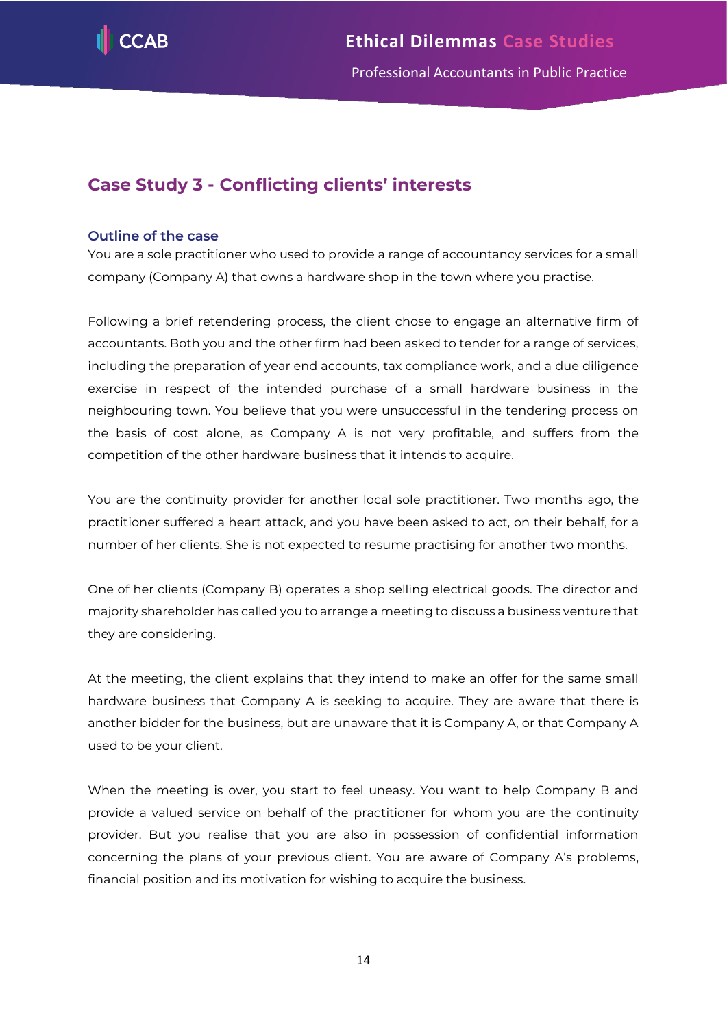

# <span id="page-14-0"></span>**Case Study 3 - Conflicting clients' interests**

# **Outline of the case**

You are a sole practitioner who used to provide a range of accountancy services for a small company (Company A) that owns a hardware shop in the town where you practise.

Following a brief retendering process, the client chose to engage an alternative firm of accountants. Both you and the other firm had been asked to tender for a range of services, including the preparation of year end accounts, tax compliance work, and a due diligence exercise in respect of the intended purchase of a small hardware business in the neighbouring town. You believe that you were unsuccessful in the tendering process on the basis of cost alone, as Company A is not very profitable, and suffers from the competition of the other hardware business that it intends to acquire.

You are the continuity provider for another local sole practitioner. Two months ago, the practitioner suffered a heart attack, and you have been asked to act, on their behalf, for a number of her clients. She is not expected to resume practising for another two months.

One of her clients (Company B) operates a shop selling electrical goods. The director and majority shareholder has called you to arrange a meeting to discuss a business venture that they are considering.

At the meeting, the client explains that they intend to make an offer for the same small hardware business that Company A is seeking to acquire. They are aware that there is another bidder for the business, but are unaware that it is Company A, or that Company A used to be your client.

When the meeting is over, you start to feel uneasy. You want to help Company B and provide a valued service on behalf of the practitioner for whom you are the continuity provider. But you realise that you are also in possession of confidential information concerning the plans of your previous client. You are aware of Company A's problems, financial position and its motivation for wishing to acquire the business.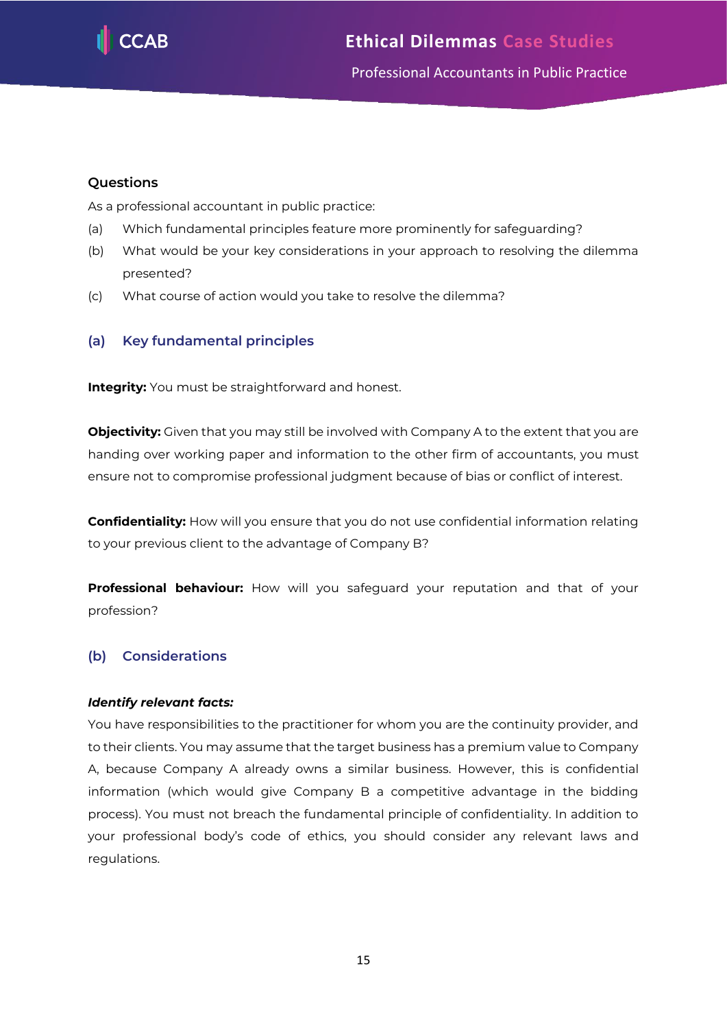

# Professional Accountants in Public Practice

# **Questions**

As a professional accountant in public practice:

- (a) Which fundamental principles feature more prominently for safeguarding?
- (b) What would be your key considerations in your approach to resolving the dilemma presented?
- (c) What course of action would you take to resolve the dilemma?

# **(a) Key fundamental principles**

**Integrity:** You must be straightforward and honest.

**Objectivity:** Given that you may still be involved with Company A to the extent that you are handing over working paper and information to the other firm of accountants, you must ensure not to compromise professional judgment because of bias or conflict of interest.

**Confidentiality:** How will you ensure that you do not use confidential information relating to your previous client to the advantage of Company B?

**Professional behaviour:** How will you safeguard your reputation and that of your profession?

# **(b) Considerations**

# *Identify relevant facts:*

You have responsibilities to the practitioner for whom you are the continuity provider, and to their clients. You may assume that the target business has a premium value to Company A, because Company A already owns a similar business. However, this is confidential information (which would give Company B a competitive advantage in the bidding process). You must not breach the fundamental principle of confidentiality. In addition to your professional body's code of ethics, you should consider any relevant laws and regulations.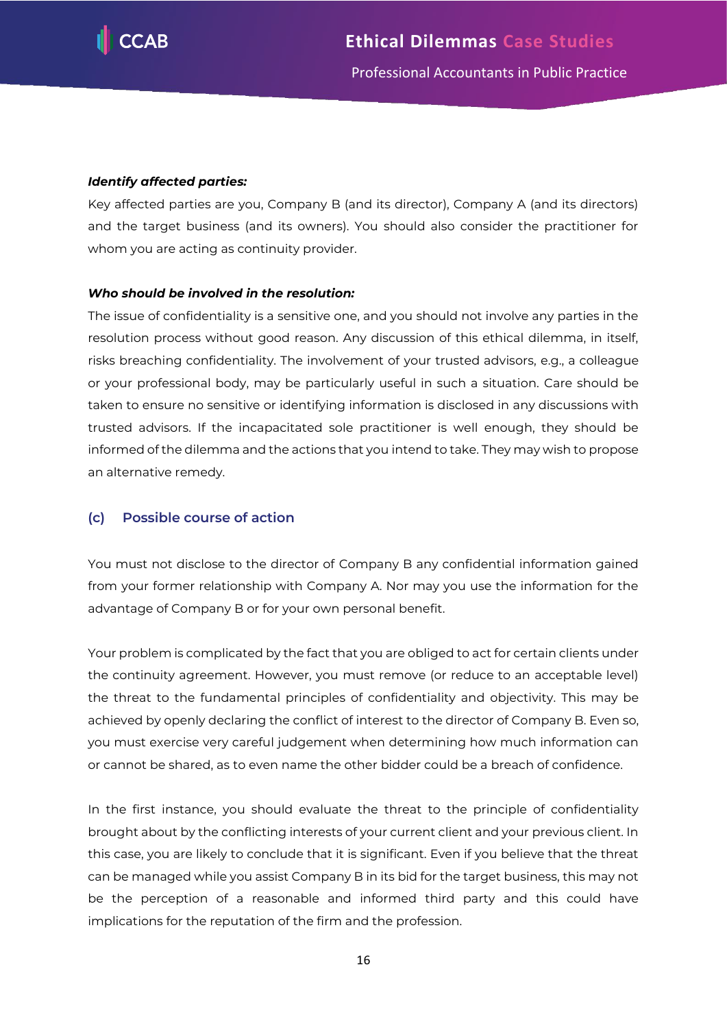

# *Identify affected parties:*

Key affected parties are you, Company B (and its director), Company A (and its directors) and the target business (and its owners). You should also consider the practitioner for whom you are acting as continuity provider.

# *Who should be involved in the resolution:*

The issue of confidentiality is a sensitive one, and you should not involve any parties in the resolution process without good reason. Any discussion of this ethical dilemma, in itself, risks breaching confidentiality. The involvement of your trusted advisors, e.g., a colleague or your professional body, may be particularly useful in such a situation. Care should be taken to ensure no sensitive or identifying information is disclosed in any discussions with trusted advisors. If the incapacitated sole practitioner is well enough, they should be informed of the dilemma and the actions that you intend to take. They may wish to propose an alternative remedy.

# **(c) Possible course of action**

You must not disclose to the director of Company B any confidential information gained from your former relationship with Company A. Nor may you use the information for the advantage of Company B or for your own personal benefit.

Your problem is complicated by the fact that you are obliged to act for certain clients under the continuity agreement. However, you must remove (or reduce to an acceptable level) the threat to the fundamental principles of confidentiality and objectivity. This may be achieved by openly declaring the conflict of interest to the director of Company B. Even so, you must exercise very careful judgement when determining how much information can or cannot be shared, as to even name the other bidder could be a breach of confidence.

In the first instance, you should evaluate the threat to the principle of confidentiality brought about by the conflicting interests of your current client and your previous client. In this case, you are likely to conclude that it is significant. Even if you believe that the threat can be managed while you assist Company B in its bid for the target business, this may not be the perception of a reasonable and informed third party and this could have implications for the reputation of the firm and the profession.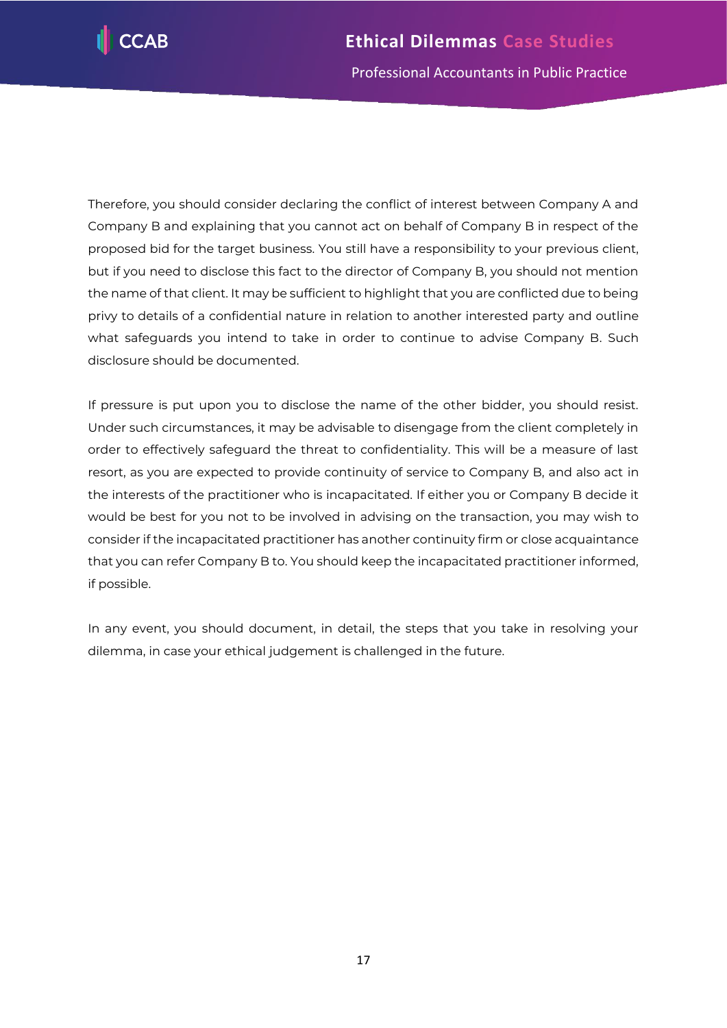

Therefore, you should consider declaring the conflict of interest between Company A and Company B and explaining that you cannot act on behalf of Company B in respect of the proposed bid for the target business. You still have a responsibility to your previous client, but if you need to disclose this fact to the director of Company B, you should not mention the name of that client. It may be sufficient to highlight that you are conflicted due to being privy to details of a confidential nature in relation to another interested party and outline what safeguards you intend to take in order to continue to advise Company B. Such disclosure should be documented.

If pressure is put upon you to disclose the name of the other bidder, you should resist. Under such circumstances, it may be advisable to disengage from the client completely in order to effectively safeguard the threat to confidentiality. This will be a measure of last resort, as you are expected to provide continuity of service to Company B, and also act in the interests of the practitioner who is incapacitated. If either you or Company B decide it would be best for you not to be involved in advising on the transaction, you may wish to consider if the incapacitated practitioner has another continuity firm or close acquaintance that you can refer Company B to. You should keep the incapacitated practitioner informed, if possible.

In any event, you should document, in detail, the steps that you take in resolving your dilemma, in case your ethical judgement is challenged in the future.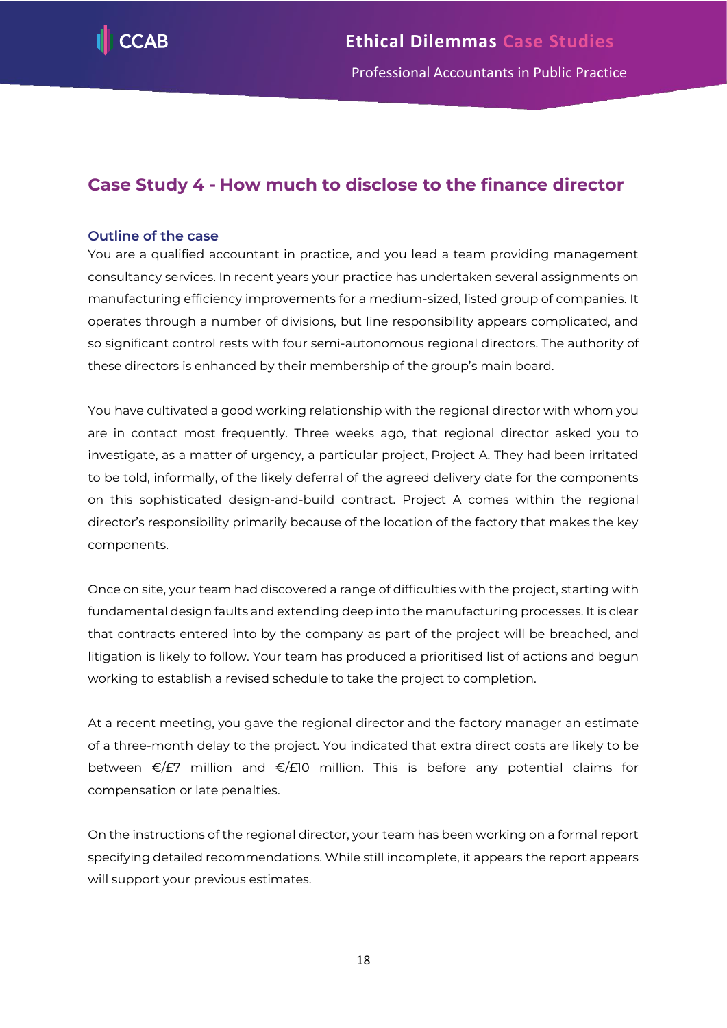

# <span id="page-18-0"></span>**Case Study 4 - How much to disclose to the finance director**

# **Outline of the case**

You are a qualified accountant in practice, and you lead a team providing management consultancy services. In recent years your practice has undertaken several assignments on manufacturing efficiency improvements for a medium-sized, listed group of companies. It operates through a number of divisions, but line responsibility appears complicated, and so significant control rests with four semi-autonomous regional directors. The authority of these directors is enhanced by their membership of the group's main board.

You have cultivated a good working relationship with the regional director with whom you are in contact most frequently. Three weeks ago, that regional director asked you to investigate, as a matter of urgency, a particular project, Project A. They had been irritated to be told, informally, of the likely deferral of the agreed delivery date for the components on this sophisticated design-and-build contract. Project A comes within the regional director's responsibility primarily because of the location of the factory that makes the key components.

Once on site, your team had discovered a range of difficulties with the project, starting with fundamental design faults and extending deep into the manufacturing processes. It is clear that contracts entered into by the company as part of the project will be breached, and litigation is likely to follow. Your team has produced a prioritised list of actions and begun working to establish a revised schedule to take the project to completion.

At a recent meeting, you gave the regional director and the factory manager an estimate of a three-month delay to the project. You indicated that extra direct costs are likely to be between €/£7 million and €/£10 million. This is before any potential claims for compensation or late penalties.

On the instructions of the regional director, your team has been working on a formal report specifying detailed recommendations. While still incomplete, it appears the report appears will support your previous estimates.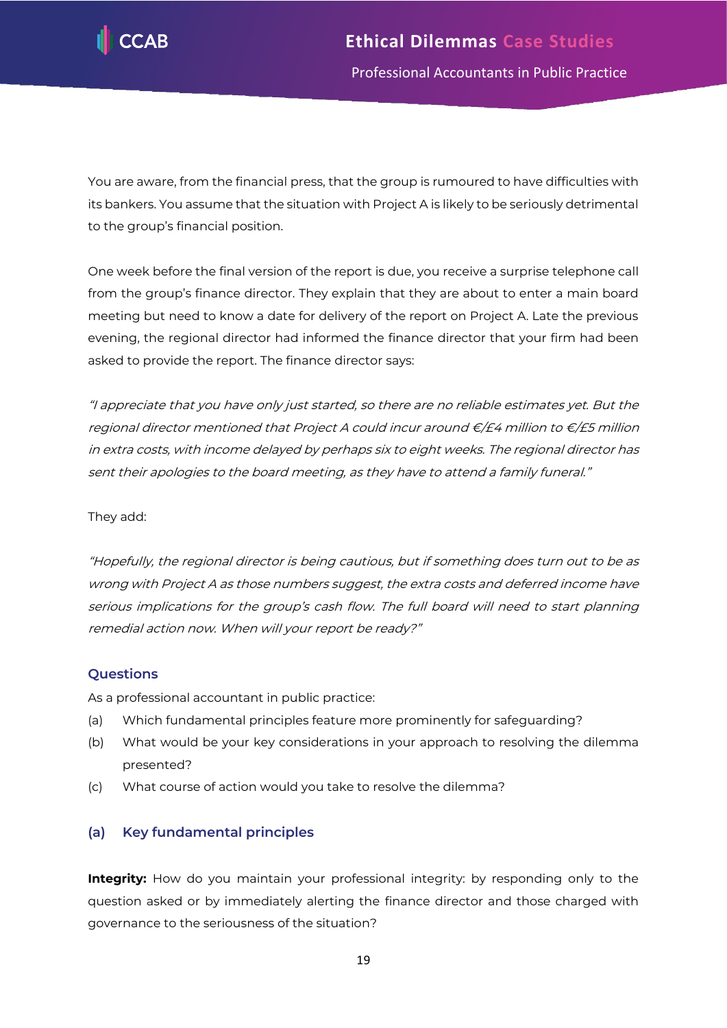

You are aware, from the financial press, that the group is rumoured to have difficulties with its bankers. You assume that the situation with Project A is likely to be seriously detrimental to the group's financial position.

One week before the final version of the report is due, you receive a surprise telephone call from the group's finance director. They explain that they are about to enter a main board meeting but need to know a date for delivery of the report on Project A. Late the previous evening, the regional director had informed the finance director that your firm had been asked to provide the report. The finance director says:

"I appreciate that you have only just started, so there are no reliable estimates yet. But the regional director mentioned that Project A could incur around  $\epsilon$ /£4 million to  $\epsilon$ /£5 million in extra costs, with income delayed by perhaps six to eight weeks. The regional director has sent their apologies to the board meeting, as they have to attend a family funeral."

# They add:

"Hopefully, the regional director is being cautious, but if something does turn out to be as wrong with Project A as those numbers suggest, the extra costs and deferred income have serious implications for the group's cash flow. The full board will need to start planning remedial action now. When will your report be ready?"

# **Questions**

As a professional accountant in public practice:

- (a) Which fundamental principles feature more prominently for safeguarding?
- (b) What would be your key considerations in your approach to resolving the dilemma presented?
- (c) What course of action would you take to resolve the dilemma?

# **(a) Key fundamental principles**

**Integrity:** How do you maintain your professional integrity: by responding only to the question asked or by immediately alerting the finance director and those charged with governance to the seriousness of the situation?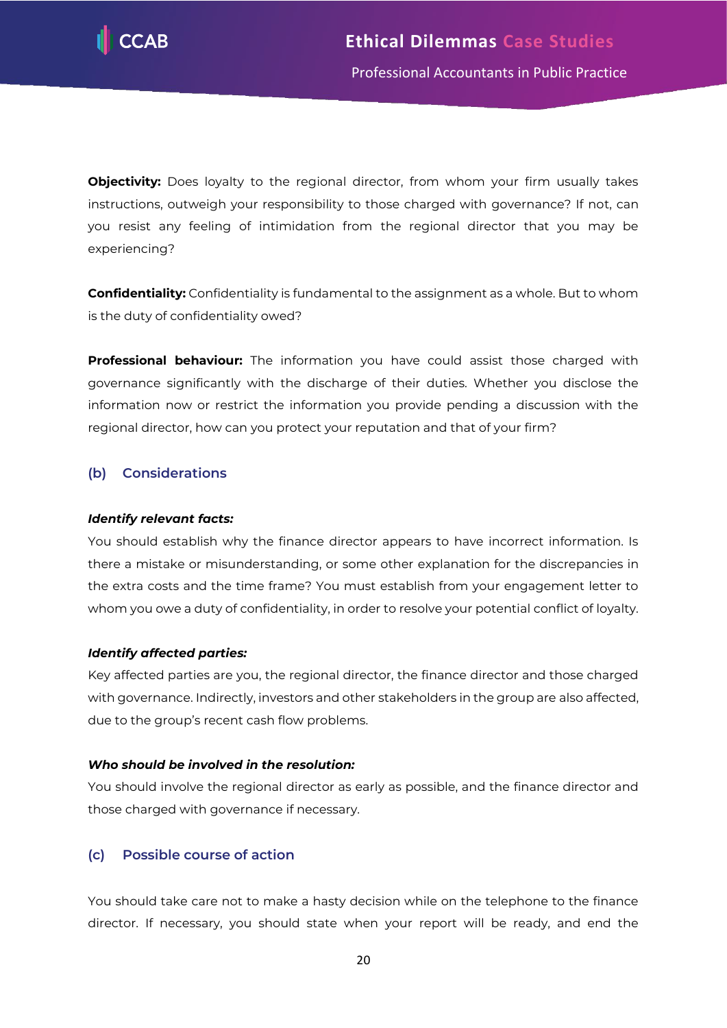

**Objectivity:** Does loyalty to the regional director, from whom your firm usually takes instructions, outweigh your responsibility to those charged with governance? If not, can you resist any feeling of intimidation from the regional director that you may be experiencing?

**Confidentiality:** Confidentiality is fundamental to the assignment as a whole. But to whom is the duty of confidentiality owed?

**Professional behaviour:** The information you have could assist those charged with governance significantly with the discharge of their duties. Whether you disclose the information now or restrict the information you provide pending a discussion with the regional director, how can you protect your reputation and that of your firm?

# **(b) Considerations**

# *Identify relevant facts:*

You should establish why the finance director appears to have incorrect information. Is there a mistake or misunderstanding, or some other explanation for the discrepancies in the extra costs and the time frame? You must establish from your engagement letter to whom you owe a duty of confidentiality, in order to resolve your potential conflict of loyalty.

# *Identify affected parties:*

Key affected parties are you, the regional director, the finance director and those charged with governance. Indirectly, investors and other stakeholders in the group are also affected, due to the group's recent cash flow problems.

# *Who should be involved in the resolution:*

You should involve the regional director as early as possible, and the finance director and those charged with governance if necessary.

# **(c) Possible course of action**

You should take care not to make a hasty decision while on the telephone to the finance director. If necessary, you should state when your report will be ready, and end the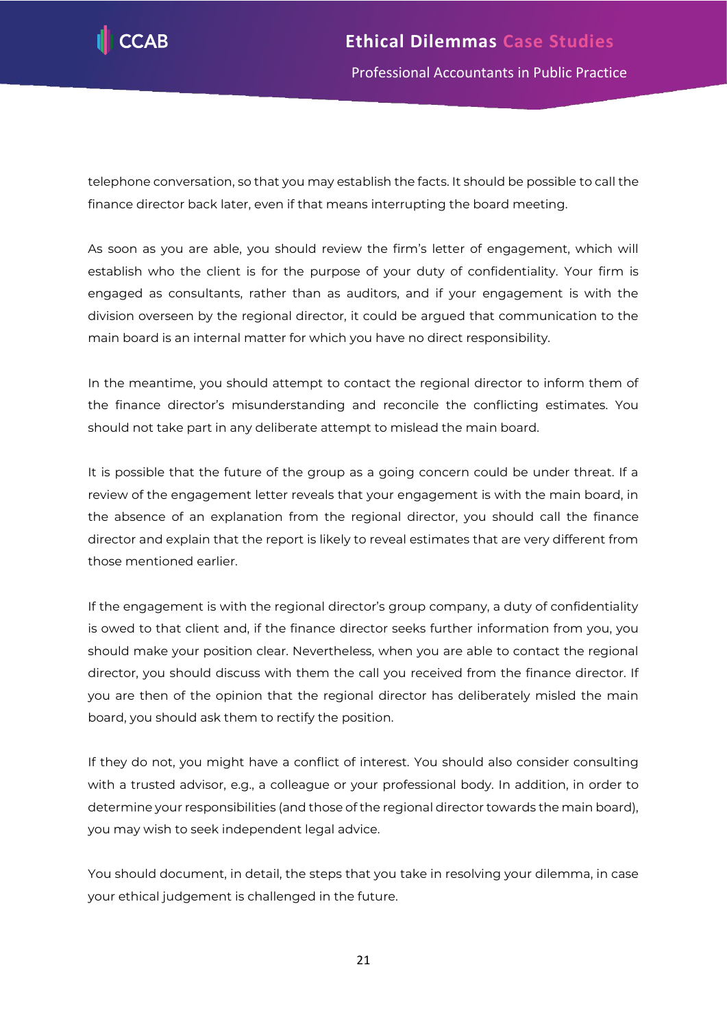

telephone conversation, so that you may establish the facts. It should be possible to call the finance director back later, even if that means interrupting the board meeting.

As soon as you are able, you should review the firm's letter of engagement, which will establish who the client is for the purpose of your duty of confidentiality. Your firm is engaged as consultants, rather than as auditors, and if your engagement is with the division overseen by the regional director, it could be argued that communication to the main board is an internal matter for which you have no direct responsibility.

In the meantime, you should attempt to contact the regional director to inform them of the finance director's misunderstanding and reconcile the conflicting estimates. You should not take part in any deliberate attempt to mislead the main board.

It is possible that the future of the group as a going concern could be under threat. If a review of the engagement letter reveals that your engagement is with the main board, in the absence of an explanation from the regional director, you should call the finance director and explain that the report is likely to reveal estimates that are very different from those mentioned earlier.

If the engagement is with the regional director's group company, a duty of confidentiality is owed to that client and, if the finance director seeks further information from you, you should make your position clear. Nevertheless, when you are able to contact the regional director, you should discuss with them the call you received from the finance director. If you are then of the opinion that the regional director has deliberately misled the main board, you should ask them to rectify the position.

If they do not, you might have a conflict of interest. You should also consider consulting with a trusted advisor, e.g., a colleague or your professional body. In addition, in order to determine your responsibilities (and those of the regional director towards the main board), you may wish to seek independent legal advice.

You should document, in detail, the steps that you take in resolving your dilemma, in case your ethical judgement is challenged in the future.

21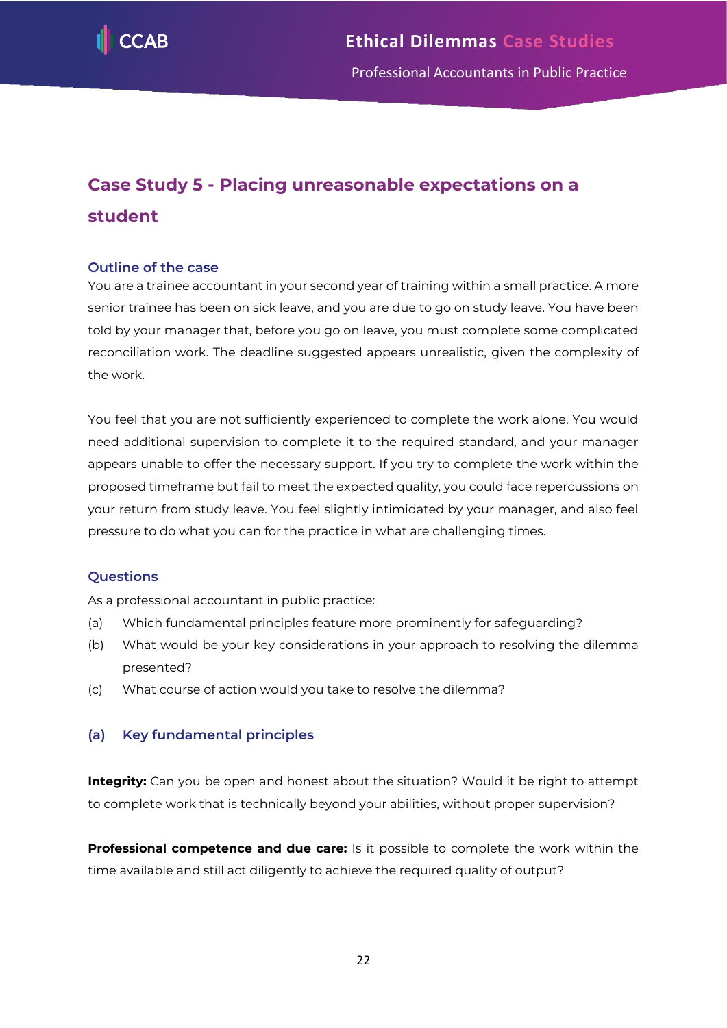

# <span id="page-22-0"></span>**Case Study 5 - Placing unreasonable expectations on a student**

# **Outline of the case**

You are a trainee accountant in your second year of training within a small practice. A more senior trainee has been on sick leave, and you are due to go on study leave. You have been told by your manager that, before you go on leave, you must complete some complicated reconciliation work. The deadline suggested appears unrealistic, given the complexity of the work.

You feel that you are not sufficiently experienced to complete the work alone. You would need additional supervision to complete it to the required standard, and your manager appears unable to offer the necessary support. If you try to complete the work within the proposed timeframe but fail to meet the expected quality, you could face repercussions on your return from study leave. You feel slightly intimidated by your manager, and also feel pressure to do what you can for the practice in what are challenging times.

# **Questions**

As a professional accountant in public practice:

- (a) Which fundamental principles feature more prominently for safeguarding?
- (b) What would be your key considerations in your approach to resolving the dilemma presented?
- (c) What course of action would you take to resolve the dilemma?

# **(a) Key fundamental principles**

**Integrity:** Can you be open and honest about the situation? Would it be right to attempt to complete work that is technically beyond your abilities, without proper supervision?

**Professional competence and due care:** Is it possible to complete the work within the time available and still act diligently to achieve the required quality of output?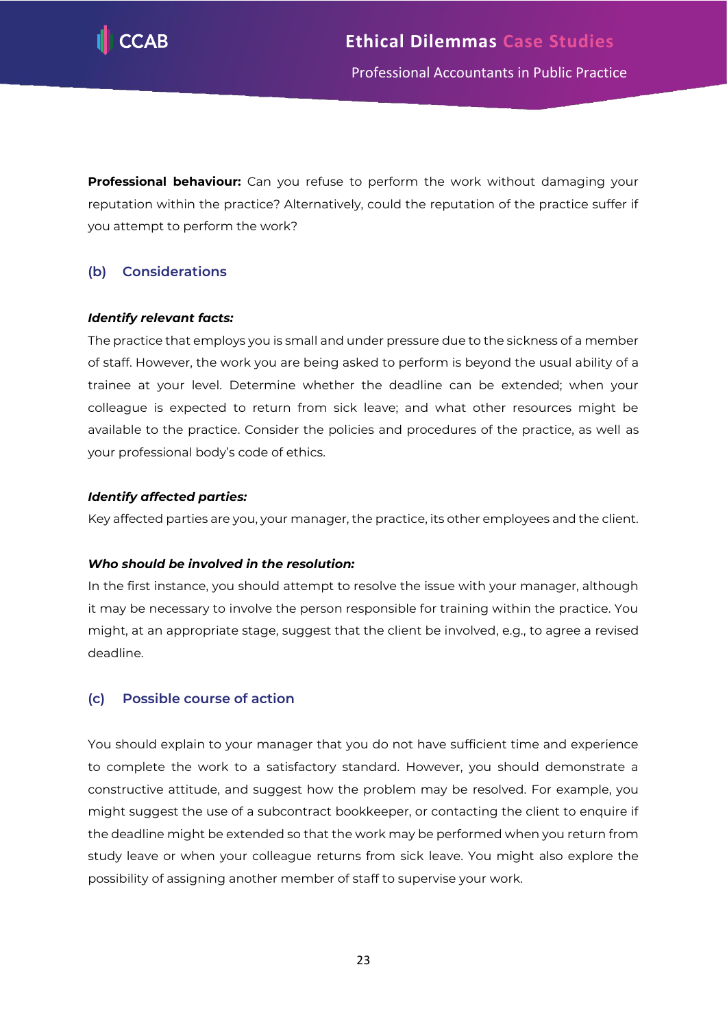

**Professional behaviour:** Can you refuse to perform the work without damaging your reputation within the practice? Alternatively, could the reputation of the practice suffer if you attempt to perform the work?

# **(b) Considerations**

# *Identify relevant facts:*

The practice that employs you is small and under pressure due to the sickness of a member of staff. However, the work you are being asked to perform is beyond the usual ability of a trainee at your level. Determine whether the deadline can be extended; when your colleague is expected to return from sick leave; and what other resources might be available to the practice. Consider the policies and procedures of the practice, as well as your professional body's code of ethics.

#### *Identify affected parties:*

Key affected parties are you, your manager, the practice, its other employees and the client.

# *Who should be involved in the resolution:*

In the first instance, you should attempt to resolve the issue with your manager, although it may be necessary to involve the person responsible for training within the practice. You might, at an appropriate stage, suggest that the client be involved, e.g., to agree a revised deadline.

# **(c) Possible course of action**

You should explain to your manager that you do not have sufficient time and experience to complete the work to a satisfactory standard. However, you should demonstrate a constructive attitude, and suggest how the problem may be resolved. For example, you might suggest the use of a subcontract bookkeeper, or contacting the client to enquire if the deadline might be extended so that the work may be performed when you return from study leave or when your colleague returns from sick leave. You might also explore the possibility of assigning another member of staff to supervise your work.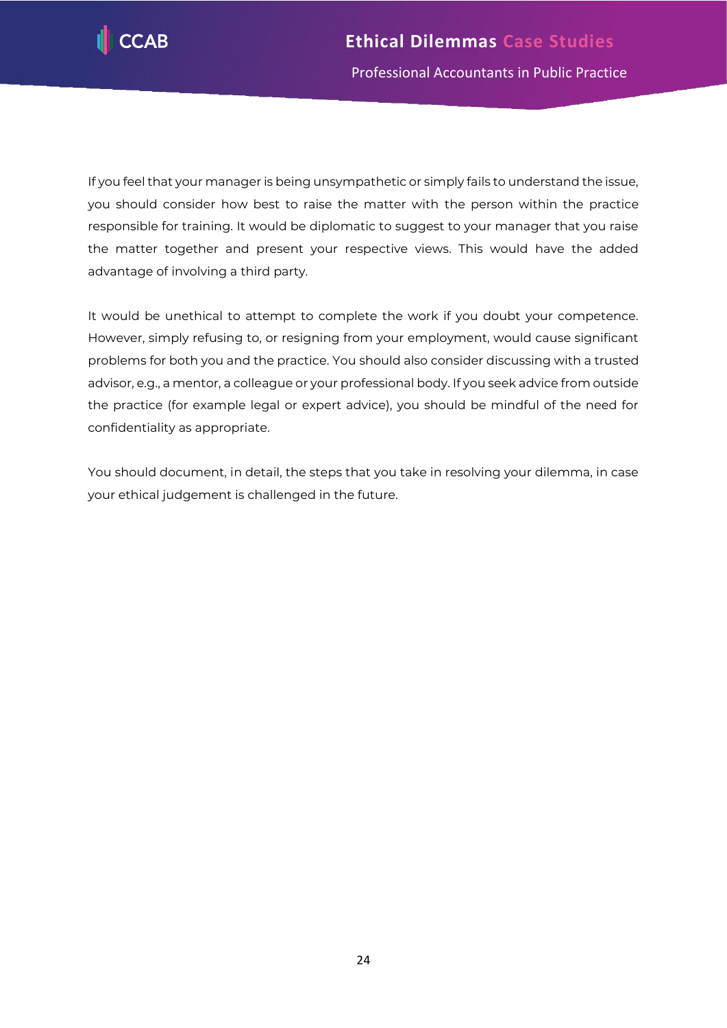

If you feel that your manager is being unsympathetic or simply fails to understand the issue, you should consider how best to raise the matter with the person within the practice responsible for training. It would be diplomatic to suggest to your manager that you raise the matter together and present your respective views. This would have the added advantage of involving a third party.

It would be unethical to attempt to complete the work if you doubt your competence. However, simply refusing to, or resigning from your employment, would cause significant problems for both you and the practice. You should also consider discussing with a trusted advisor, e.g., a mentor, a colleague or your professional body. If you seek advice from outside the practice (for example legal or expert advice), you should be mindful of the need for confidentiality as appropriate.

You should document, in detail, the steps that you take in resolving your dilemma, in case your ethical judgement is challenged in the future.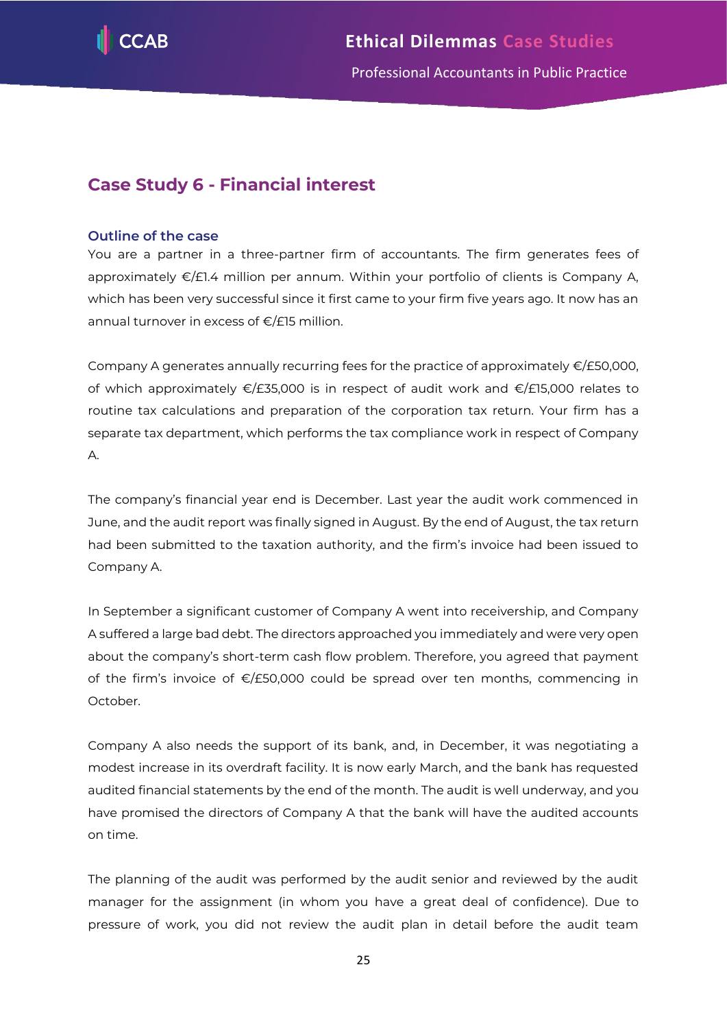

# <span id="page-25-0"></span>**Case Study 6 - Financial interest**

# **Outline of the case**

You are a partner in a three-partner firm of accountants. The firm generates fees of approximately €/£1.4 million per annum. Within your portfolio of clients is Company A, which has been very successful since it first came to your firm five years ago. It now has an annual turnover in excess of €/£15 million.

Company A generates annually recurring fees for the practice of approximately €/£50,000, of which approximately €/£35,000 is in respect of audit work and €/£15,000 relates to routine tax calculations and preparation of the corporation tax return. Your firm has a separate tax department, which performs the tax compliance work in respect of Company A.

The company's financial year end is December. Last year the audit work commenced in June, and the audit report was finally signed in August. By the end of August, the tax return had been submitted to the taxation authority, and the firm's invoice had been issued to Company A.

In September a significant customer of Company A went into receivership, and Company A suffered a large bad debt. The directors approached you immediately and were very open about the company's short-term cash flow problem. Therefore, you agreed that payment of the firm's invoice of €/£50,000 could be spread over ten months, commencing in October.

Company A also needs the support of its bank, and, in December, it was negotiating a modest increase in its overdraft facility. It is now early March, and the bank has requested audited financial statements by the end of the month. The audit is well underway, and you have promised the directors of Company A that the bank will have the audited accounts on time.

The planning of the audit was performed by the audit senior and reviewed by the audit manager for the assignment (in whom you have a great deal of confidence). Due to pressure of work, you did not review the audit plan in detail before the audit team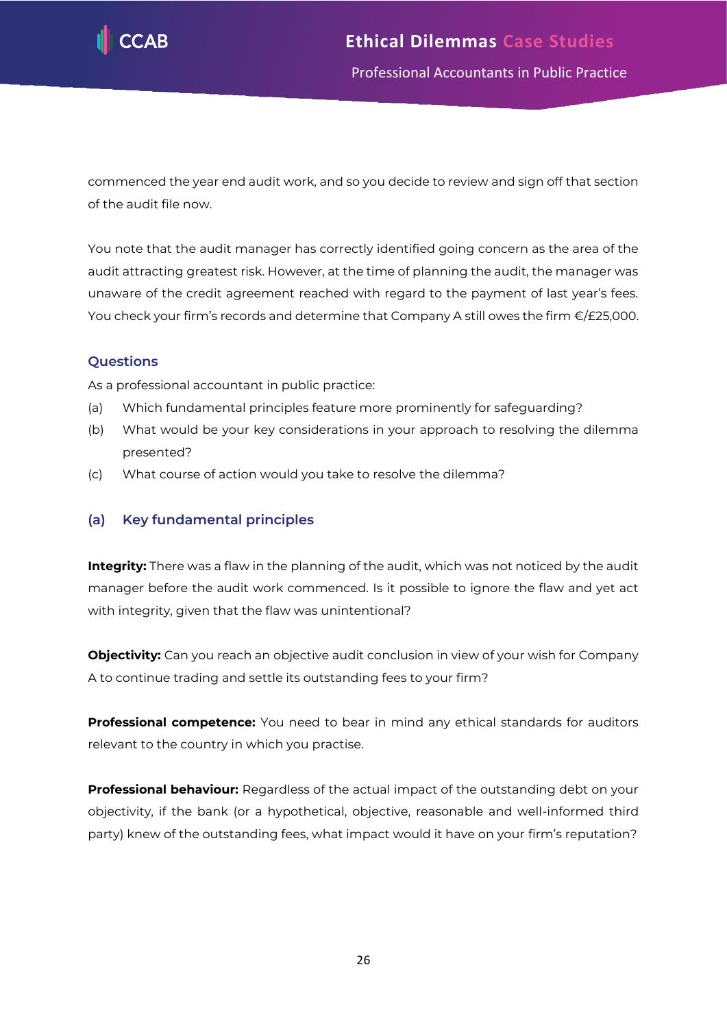

commenced the year end audit work, and so you decide to review and sign off that section of the audit file now.

You note that the audit manager has correctly identified going concern as the area of the audit attracting greatest risk. However, at the time of planning the audit, the manager was unaware of the credit agreement reached with regard to the payment of last year's fees. You check your firm's records and determine that Company A still owes the firm €/£25,000.

# **Questions**

As a professional accountant in public practice:

- (a) Which fundamental principles feature more prominently for safeguarding?
- (b) What would be your key considerations in your approach to resolving the dilemma presented?
- (c) What course of action would you take to resolve the dilemma?

# **(a) Key fundamental principles**

**Integrity:** There was a flaw in the planning of the audit, which was not noticed by the audit manager before the audit work commenced. Is it possible to ignore the flaw and yet act with integrity, given that the flaw was unintentional?

**Objectivity:** Can you reach an objective audit conclusion in view of your wish for Company A to continue trading and settle its outstanding fees to your firm?

**Professional competence:** You need to bear in mind any ethical standards for auditors relevant to the country in which you practise.

**Professional behaviour:** Regardless of the actual impact of the outstanding debt on your objectivity, if the bank (or a hypothetical, objective, reasonable and well-informed third party) knew of the outstanding fees, what impact would it have on your firm's reputation?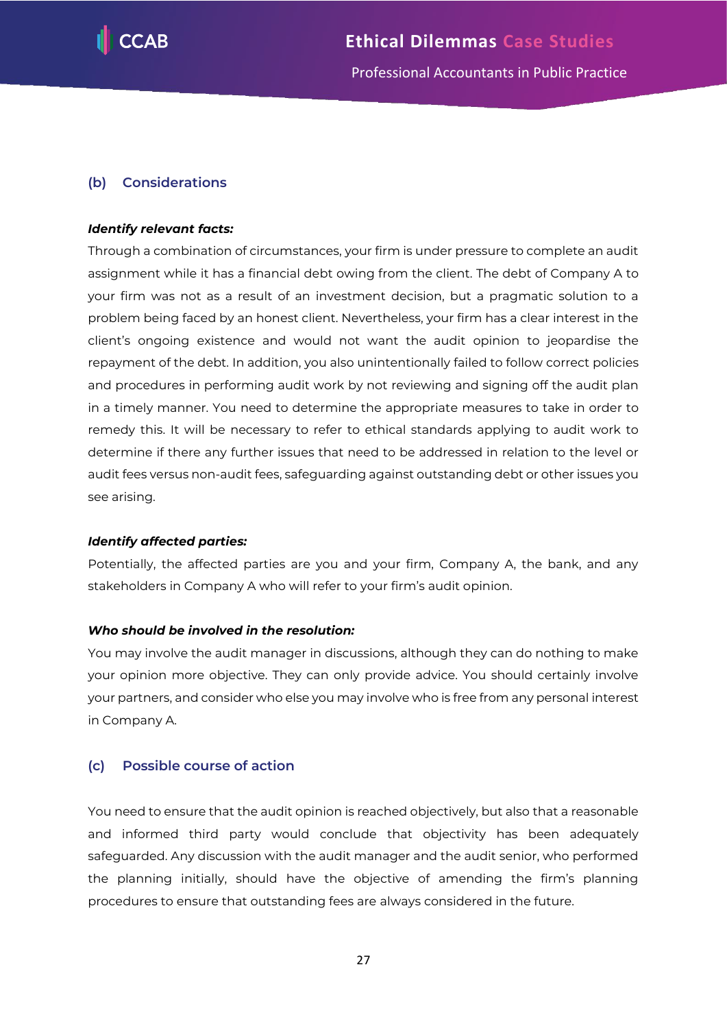

# **(b) Considerations**

# *Identify relevant facts:*

Through a combination of circumstances, your firm is under pressure to complete an audit assignment while it has a financial debt owing from the client. The debt of Company A to your firm was not as a result of an investment decision, but a pragmatic solution to a problem being faced by an honest client. Nevertheless, your firm has a clear interest in the client's ongoing existence and would not want the audit opinion to jeopardise the repayment of the debt. In addition, you also unintentionally failed to follow correct policies and procedures in performing audit work by not reviewing and signing off the audit plan in a timely manner. You need to determine the appropriate measures to take in order to remedy this. It will be necessary to refer to ethical standards applying to audit work to determine if there any further issues that need to be addressed in relation to the level or audit fees versus non-audit fees, safeguarding against outstanding debt or other issues you see arising.

# *Identify affected parties:*

Potentially, the affected parties are you and your firm, Company A, the bank, and any stakeholders in Company A who will refer to your firm's audit opinion.

# *Who should be involved in the resolution:*

You may involve the audit manager in discussions, although they can do nothing to make your opinion more objective. They can only provide advice. You should certainly involve your partners, and consider who else you may involve who is free from any personal interest in Company A.

# **(c) Possible course of action**

You need to ensure that the audit opinion is reached objectively, but also that a reasonable and informed third party would conclude that objectivity has been adequately safeguarded. Any discussion with the audit manager and the audit senior, who performed the planning initially, should have the objective of amending the firm's planning procedures to ensure that outstanding fees are always considered in the future.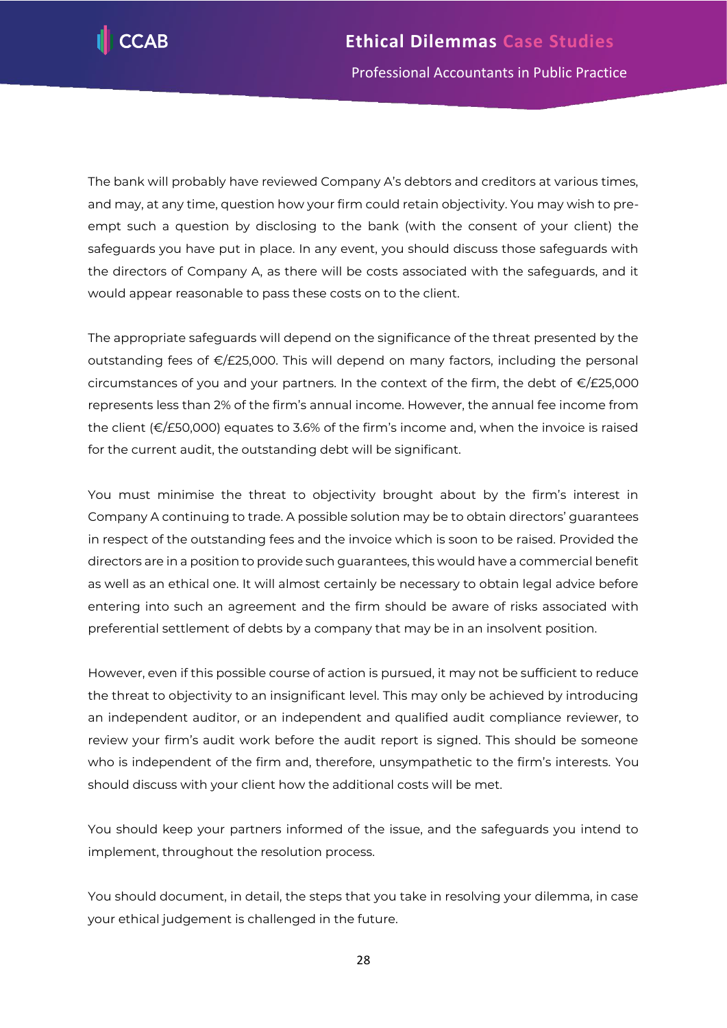

The bank will probably have reviewed Company A's debtors and creditors at various times, and may, at any time, question how your firm could retain objectivity. You may wish to preempt such a question by disclosing to the bank (with the consent of your client) the safeguards you have put in place. In any event, you should discuss those safeguards with the directors of Company A, as there will be costs associated with the safeguards, and it would appear reasonable to pass these costs on to the client.

The appropriate safeguards will depend on the significance of the threat presented by the outstanding fees of €/£25,000. This will depend on many factors, including the personal circumstances of you and your partners. In the context of the firm, the debt of  $E/E25,000$ represents less than 2% of the firm's annual income. However, the annual fee income from the client (€/£50,000) equates to 3.6% of the firm's income and, when the invoice is raised for the current audit, the outstanding debt will be significant.

You must minimise the threat to objectivity brought about by the firm's interest in Company A continuing to trade. A possible solution may be to obtain directors' guarantees in respect of the outstanding fees and the invoice which is soon to be raised. Provided the directors are in a position to provide such guarantees, this would have a commercial benefit as well as an ethical one. It will almost certainly be necessary to obtain legal advice before entering into such an agreement and the firm should be aware of risks associated with preferential settlement of debts by a company that may be in an insolvent position.

However, even if this possible course of action is pursued, it may not be sufficient to reduce the threat to objectivity to an insignificant level. This may only be achieved by introducing an independent auditor, or an independent and qualified audit compliance reviewer, to review your firm's audit work before the audit report is signed. This should be someone who is independent of the firm and, therefore, unsympathetic to the firm's interests. You should discuss with your client how the additional costs will be met.

You should keep your partners informed of the issue, and the safeguards you intend to implement, throughout the resolution process.

You should document, in detail, the steps that you take in resolving your dilemma, in case your ethical judgement is challenged in the future.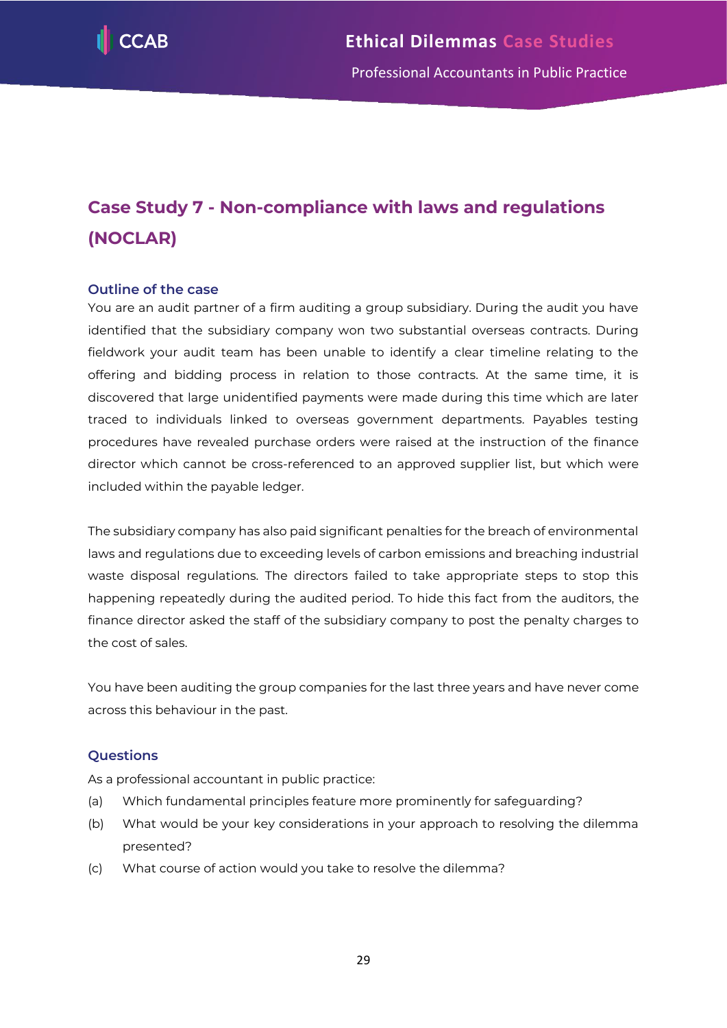

# <span id="page-29-0"></span>**Case Study 7 - Non-compliance with laws and regulations (NOCLAR)**

# **Outline of the case**

You are an audit partner of a firm auditing a group subsidiary. During the audit you have identified that the subsidiary company won two substantial overseas contracts. During fieldwork your audit team has been unable to identify a clear timeline relating to the offering and bidding process in relation to those contracts. At the same time, it is discovered that large unidentified payments were made during this time which are later traced to individuals linked to overseas government departments. Payables testing procedures have revealed purchase orders were raised at the instruction of the finance director which cannot be cross-referenced to an approved supplier list, but which were included within the payable ledger.

The subsidiary company has also paid significant penalties for the breach of environmental laws and regulations due to exceeding levels of carbon emissions and breaching industrial waste disposal regulations. The directors failed to take appropriate steps to stop this happening repeatedly during the audited period. To hide this fact from the auditors, the finance director asked the staff of the subsidiary company to post the penalty charges to the cost of sales.

You have been auditing the group companies for the last three years and have never come across this behaviour in the past.

# **Questions**

As a professional accountant in public practice:

- (a) Which fundamental principles feature more prominently for safeguarding?
- (b) What would be your key considerations in your approach to resolving the dilemma presented?
- (c) What course of action would you take to resolve the dilemma?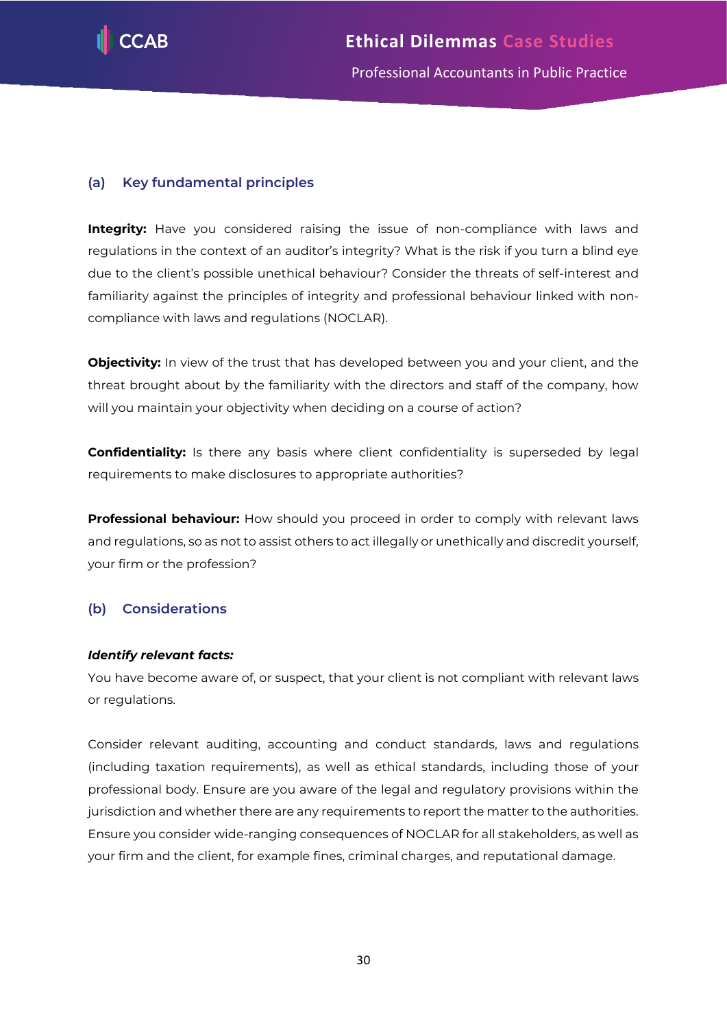

# **(a) Key fundamental principles**

**Integrity:** Have you considered raising the issue of non-compliance with laws and regulations in the context of an auditor's integrity? What is the risk if you turn a blind eye due to the client's possible unethical behaviour? Consider the threats of self-interest and familiarity against the principles of integrity and professional behaviour linked with noncompliance with laws and regulations (NOCLAR).

**Objectivity:** In view of the trust that has developed between you and your client, and the threat brought about by the familiarity with the directors and staff of the company, how will you maintain your objectivity when deciding on a course of action?

**Confidentiality:** Is there any basis where client confidentiality is superseded by legal requirements to make disclosures to appropriate authorities?

**Professional behaviour:** How should you proceed in order to comply with relevant laws and regulations, so as not to assist others to act illegally or unethically and discredit yourself, your firm or the profession?

# **(b) Considerations**

# *Identify relevant facts:*

You have become aware of, or suspect, that your client is not compliant with relevant laws or regulations.

Consider relevant auditing, accounting and conduct standards, laws and regulations (including taxation requirements), as well as ethical standards, including those of your professional body. Ensure are you aware of the legal and regulatory provisions within the jurisdiction and whether there are any requirements to report the matter to the authorities. Ensure you consider wide-ranging consequences of NOCLAR for all stakeholders, as well as your firm and the client, for example fines, criminal charges, and reputational damage.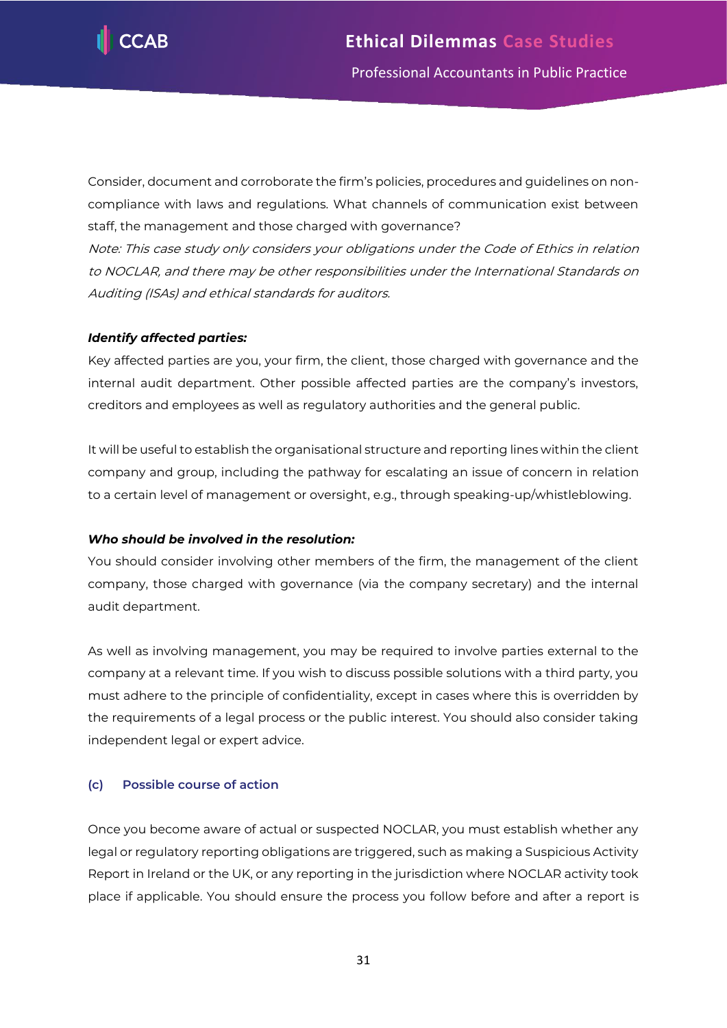

Consider, document and corroborate the firm's policies, procedures and guidelines on noncompliance with laws and regulations. What channels of communication exist between staff, the management and those charged with governance?

Note: This case study only considers your obligations under the Code of Ethics in relation to NOCLAR, and there may be other responsibilities under the International Standards on Auditing (ISAs) and ethical standards for auditors.

# *Identify affected parties:*

Key affected parties are you, your firm, the client, those charged with governance and the internal audit department. Other possible affected parties are the company's investors, creditors and employees as well as regulatory authorities and the general public.

It will be useful to establish the organisational structure and reporting lines within the client company and group, including the pathway for escalating an issue of concern in relation to a certain level of management or oversight, e.g., through speaking-up/whistleblowing.

# *Who should be involved in the resolution:*

You should consider involving other members of the firm, the management of the client company, those charged with governance (via the company secretary) and the internal audit department.

As well as involving management, you may be required to involve parties external to the company at a relevant time. If you wish to discuss possible solutions with a third party, you must adhere to the principle of confidentiality, except in cases where this is overridden by the requirements of a legal process or the public interest. You should also consider taking independent legal or expert advice.

# **(c) Possible course of action**

Once you become aware of actual or suspected NOCLAR, you must establish whether any legal or regulatory reporting obligations are triggered, such as making a Suspicious Activity Report in Ireland or the UK, or any reporting in the jurisdiction where NOCLAR activity took place if applicable. You should ensure the process you follow before and after a report is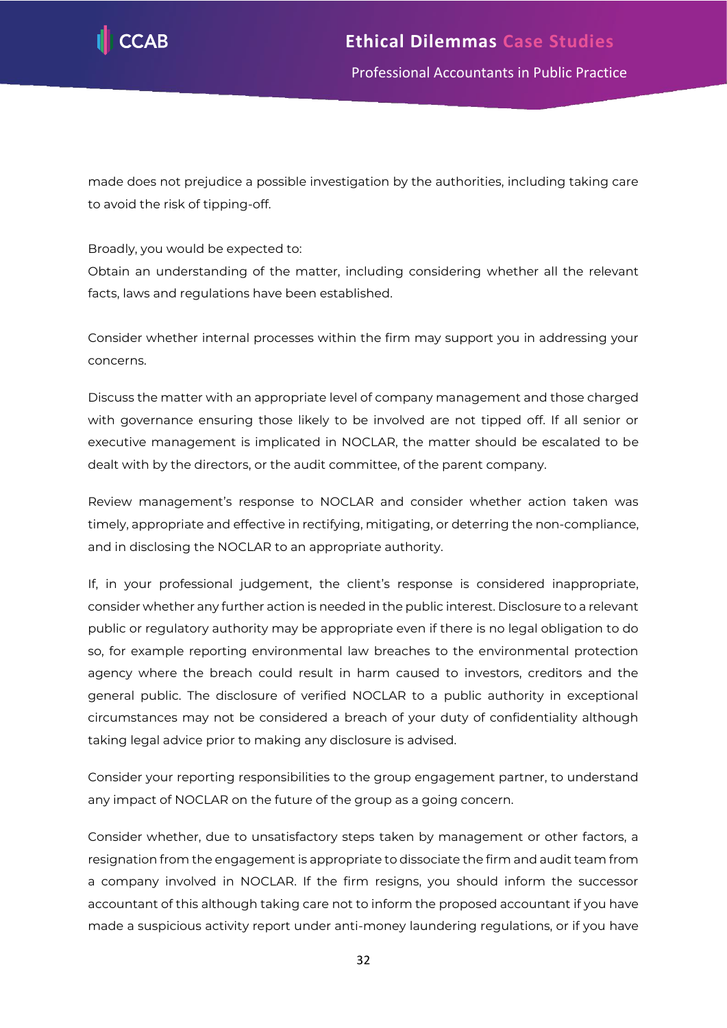

Professional Accountants in Public Practice

made does not prejudice a possible investigation by the authorities, including taking care to avoid the risk of tipping-off.

Broadly, you would be expected to:

Obtain an understanding of the matter, including considering whether all the relevant facts, laws and regulations have been established.

Consider whether internal processes within the firm may support you in addressing your concerns.

Discuss the matter with an appropriate level of company management and those charged with governance ensuring those likely to be involved are not tipped off. If all senior or executive management is implicated in NOCLAR, the matter should be escalated to be dealt with by the directors, or the audit committee, of the parent company.

Review management's response to NOCLAR and consider whether action taken was timely, appropriate and effective in rectifying, mitigating, or deterring the non-compliance, and in disclosing the NOCLAR to an appropriate authority.

If, in your professional judgement, the client's response is considered inappropriate, consider whether any further action is needed in the public interest. Disclosure to a relevant public or regulatory authority may be appropriate even if there is no legal obligation to do so, for example reporting environmental law breaches to the environmental protection agency where the breach could result in harm caused to investors, creditors and the general public. The disclosure of verified NOCLAR to a public authority in exceptional circumstances may not be considered a breach of your duty of confidentiality although taking legal advice prior to making any disclosure is advised.

Consider your reporting responsibilities to the group engagement partner, to understand any impact of NOCLAR on the future of the group as a going concern.

Consider whether, due to unsatisfactory steps taken by management or other factors, a resignation from the engagement is appropriate to dissociate the firm and audit team from a company involved in NOCLAR. If the firm resigns, you should inform the successor accountant of this although taking care not to inform the proposed accountant if you have made a suspicious activity report under anti-money laundering regulations, or if you have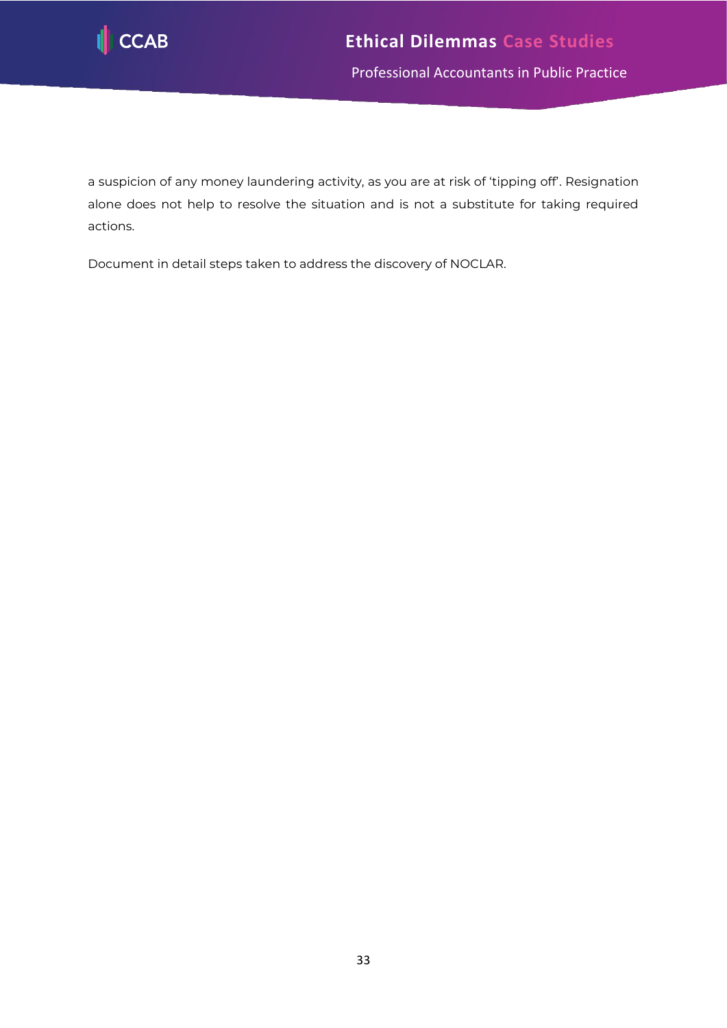

Professional Accountants in Public Practice

a suspicion of any money laundering activity, as you are at risk of 'tipping off'. Resignation alone does not help to resolve the situation and is not a substitute for taking required actions.

Document in detail steps taken to address the discovery of NOCLAR.